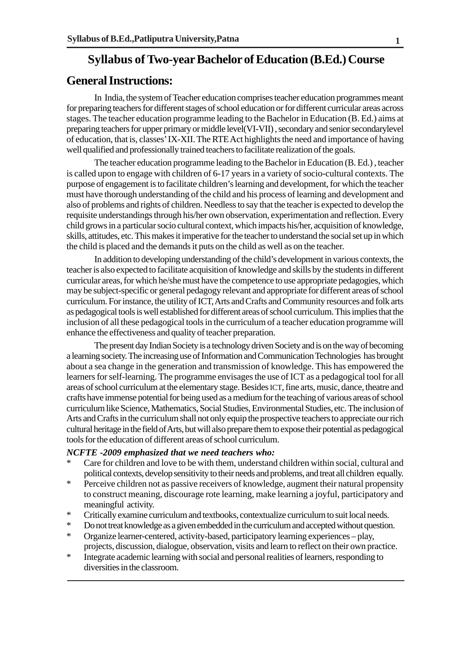## **Syllabus of Two-year Bachelor of Education (B.Ed.) Course**

### **General Instructions:**

In India, the system of Teacher education comprises teacher education programmes meant for preparing teachers for different stages of school education or for different curricular areas across stages. The teacher education programme leading to the Bachelor in Education (B. Ed.) aims at preparing teachers for upper primary or middle level(VI-VII) , secondary and senior secondarylevel of education, that is, classes' IX-XII. The RTE Act highlights the need and importance of having well qualified and professionally trained teachers to facilitate realization of the goals.

The teacher education programme leading to the Bachelor in Education (B. Ed.) , teacher is called upon to engage with children of 6-17 years in a variety of socio-cultural contexts. The purpose of engagement is to facilitate children's learning and development, for which the teacher must have thorough understanding of the child and his process of learning and development and also of problems and rights of children. Needless to say that the teacher is expected to develop the requisite understandings through his/her own observation, experimentation and reflection. Every child grows in a particular socio cultural context, which impacts his/her, acquisition of knowledge, skills, attitudes, etc. This makes it imperative for the teacher to understand the social set up in which the child is placed and the demands it puts on the child as well as on the teacher.

In addition to developing understanding of the child's development in various contexts, the teacher is also expected to facilitate acquisition of knowledge and skills by the students in different curricular areas, for which he/she must have the competence to use appropriate pedagogies, which may be subject-specific or general pedagogy relevant and appropriate for different areas of school curriculum. For instance, the utility of ICT, Arts and Crafts and Community resources and folk arts as pedagogical tools is well established for different areas of school curriculum. This implies that the inclusion of all these pedagogical tools in the curriculum of a teacher education programme will enhance the effectiveness and quality of teacher preparation.

The present day Indian Society is a technology driven Society and is on the way of becoming a learning society. The increasing use of Information and Communication Technologies has brought about a sea change in the generation and transmission of knowledge. This has empowered the learners for self-learning. The programme envisages the use of ICT as a pedagogical tool for all areas of school curriculum at the elementary stage. Besides ICT, fine arts, music, dance, theatre and crafts have immense potential for being used as a medium for the teaching of various areas of school curriculum like Science, Mathematics, Social Studies, Environmental Studies, etc. The inclusion of Arts and Crafts in the curriculum shall not only equip the prospective teachers to appreciate our rich cultural heritage in the field of Arts, but will also prepare them to expose their potential as pedagogical tools for the education of different areas of school curriculum.

#### *NCFTE -2009 emphasized that we need teachers who:*

- Care for children and love to be with them, understand children within social, cultural and political contexts, develop sensitivity to their needs and problems, and treat all children equally.
- \* Perceive children not as passive receivers of knowledge, augment their natural propensity to construct meaning, discourage rote learning, make learning a joyful, participatory and meaningful activity.
- \* Critically examine curriculum and textbooks, contextualize curriculum to suit local needs.
- \* Do not treat knowledge as a given embedded in the curriculum and accepted without question.
- \* Organize learner-centered, activity-based, participatory learning experiences play, projects, discussion, dialogue, observation, visits and learn to reflect on their own practice.
- \* Integrate academic learning with social and personal realities of learners, responding to diversities in the classroom.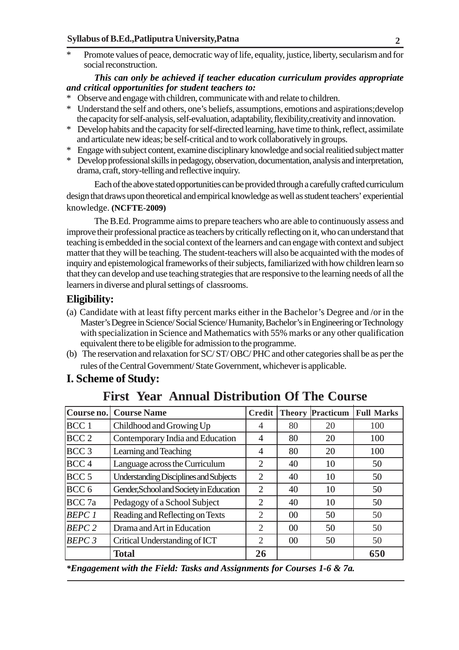\* Promote values of peace, democratic way of life, equality, justice, liberty, secularism and for social reconstruction.

#### *This can only be achieved if teacher education curriculum provides appropriate and critical opportunities for student teachers to:*

- Observe and engage with children, communicate with and relate to children.
- \* Understand the self and others, one's beliefs, assumptions, emotions and aspirations;develop the capacity for self-analysis, self-evaluation, adaptability, flexibility,creativity and innovation.
- \* Develop habits and the capacity for self-directed learning, have time to think, reflect, assimilate and articulate new ideas; be self-critical and to work collaboratively in groups.
- \* Engage with subject content, examine disciplinary knowledge and social realitied subject matter
- \* Develop professional skills in pedagogy, observation, documentation, analysis and interpretation, drama, craft, story-telling and reflective inquiry.

Each of the above stated opportunities can be provided through a carefully crafted curriculum design that draws upon theoretical and empirical knowledge as well as student teachers' experiential knowledge. **(NCFTE-2009)**

The B.Ed. Programme aims to prepare teachers who are able to continuously assess and improve their professional practice as teachers by critically reflecting on it, who can understand that teaching is embedded in the social context of the learners and can engage with context and subject matter that they will be teaching. The student-teachers will also be acquainted with the modes of inquiry and epistemological frameworks of their subjects, familiarized with how children learn so that they can develop and use teaching strategies that are responsive to the learning needs of all the learners in diverse and plural settings of classrooms.

#### **Eligibility:**

- (a) Candidate with at least fifty percent marks either in the Bachelor's Degree and /or in the Master's Degree in Science/ Social Science/ Humanity, Bachelor's in Engineering or Technology with specialization in Science and Mathematics with 55% marks or any other qualification equivalent there to be eligible for admission to the programme.
- (b) The reservation and relaxation for SC/ ST/ OBC/ PHC and other categories shall be as per the rules of the Central Government/ State Government, whichever is applicable.

## **I. Scheme of Study:**

| Course no.                                                        | <b>Course Name</b>               | <b>Credit</b>  | <b>Theory</b> | Practicum | <b>Full Marks</b> |
|-------------------------------------------------------------------|----------------------------------|----------------|---------------|-----------|-------------------|
| BCC 1                                                             | Childhood and Growing Up         |                | 80            | 20        | 100               |
| BCC <sub>2</sub>                                                  | Contemporary India and Education |                | 80            | 20        | 100               |
| BCC <sub>3</sub>                                                  | Learning and Teaching            |                | 80            | 20        | 100               |
| BCC 4<br>Language across the Curriculum                           |                                  | $\overline{2}$ | 40            | 10        | 50                |
| BCC <sub>5</sub><br><b>Understanding Disciplines and Subjects</b> |                                  | $\overline{2}$ | 40            | 10        | 50                |
| BCC <sub>6</sub><br>Gender, School and Society in Education       |                                  | $\overline{2}$ | 40            | 10        | 50                |
| BCC 7a<br>Pedagogy of a School Subject                            |                                  | $\overline{2}$ | 40            | 10        | 50                |
| BEPC1                                                             | Reading and Reflecting on Texts  | $\overline{2}$ | 00            | 50        | 50                |
| BEPC2<br>Drama and Art in Education                               |                                  | $\overline{2}$ | 00            | 50        | 50                |
| BEPC3                                                             | Critical Understanding of ICT    | 2              | 00            | 50        | 50                |
|                                                                   | <b>Total</b>                     | 26             |               |           | 650               |

## **First Year Annual Distribution Of The Course**

*\*Engagement with the Field: Tasks and Assignments for Courses 1-6 & 7a.*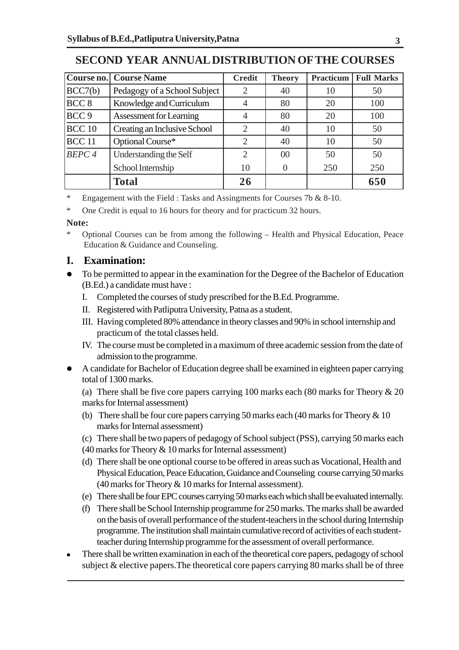|                                              | <b>Course no.</b> Course Name  | <b>Credit</b>  | <b>Theory</b>  | <b>Practicum</b> | <b>Full Marks</b> |
|----------------------------------------------|--------------------------------|----------------|----------------|------------------|-------------------|
| BCC7(b)                                      | Pedagogy of a School Subject   | 2              | 40             | 10               | 50                |
| BCC <sub>8</sub><br>Knowledge and Curriculum |                                | $\overline{4}$ | 80             | 20               | 100               |
| BCC <sub>9</sub>                             | <b>Assessment for Learning</b> | 4              | 80             | 20               | 100               |
| $BCC$ 10                                     | Creating an Inclusive School   | $\overline{2}$ | 40             | 10               | 50                |
| BCC <sub>11</sub>                            | Optional Course*               | 2              | 40             | 10               | 50                |
| BEPC <sub>4</sub>                            | Understanding the Self         | $\overline{2}$ | 0 <sup>0</sup> | 50               | 50                |
|                                              | School Internship              | 10             |                | 250              | 250               |
|                                              | <b>Total</b>                   | 26             |                |                  | 650               |

## **SECOND YEAR ANNUAL DISTRIBUTION OF THE COURSES**

\* Engagement with the Field : Tasks and Assingments for Courses 7b & 8-10.

\* One Credit is equal to 16 hours for theory and for practicum 32 hours.

#### **Note:**

\* Optional Courses can be from among the following – Health and Physical Education, Peace Education & Guidance and Counseling.

## **I. Examination:**

- To be permitted to appear in the examination for the Degree of the Bachelor of Education (B.Ed.) a candidate must have :
	- I. Completed the courses of study prescribed for the B.Ed. Programme.
	- II. Registered with Patliputra University, Patna as a student.
	- III. Having completed 80% attendance in theory classes and 90% in school internship and practicum of the total classes held.
	- IV. The course must be completed in a maximum of three academic session from the date of admission to the programme.
- A candidate for Bachelor of Education degree shall be examined in eighteen paper carrying total of 1300 marks.

(a) There shall be five core papers carrying 100 marks each (80 marks for Theory & 20 marks for Internal assessment)

- (b) There shall be four core papers carrying 50 marks each (40 marks for Theory & 10 marks for Internal assessment)
- (c) There shall be two papers of pedagogy of School subject (PSS), carrying 50 marks each
- (40 marks for Theory & 10 marks for Internal assessment)
- (d) There shall be one optional course to be offered in areas such as Vocational, Health and Physical Education, Peace Education, Guidance and Counseling course carrying 50 marks (40 marks for Theory & 10 marks for Internal assessment).
- (e) There shall be four EPC courses carrying 50 marks each which shall be evaluated internally.
- (f) There shall be School Internship programme for 250 marks. The marks shall be awarded on the basis of overall performance of the student-teachers in the school during Internship programme. The institution shall maintain cumulative record of activities of each studentteacher during Internship programme for the assessment of overall performance.
- There shall be written examination in each of the theoretical core papers, pedagogy of school subject & elective papers.The theoretical core papers carrying 80 marks shall be of three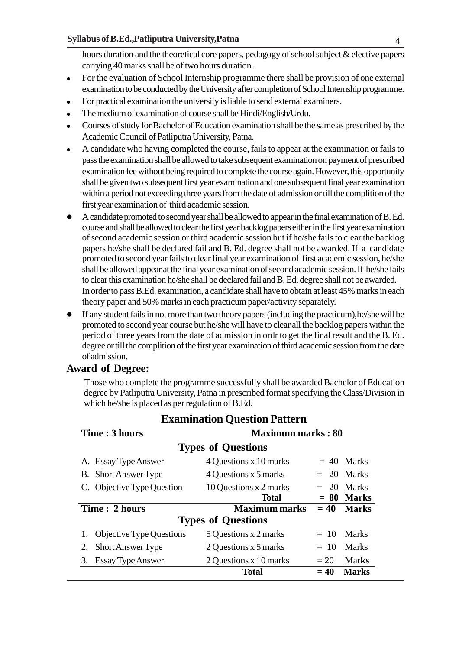hours duration and the theoretical core papers, pedagogy of school subject & elective papers carrying 40 marks shall be of two hours duration .

- For the evaluation of School Internship programme there shall be provision of one external examination to be conducted by the University after completion of School Internship programme.
- For practical examination the university is liable to send external examiners.
- The medium of examination of course shall be Hindi/English/Urdu.
- Courses of study for Bachelor of Education examination shall be the same as prescribed by the Academic Council of Patliputra University, Patna.
- A candidate who having completed the course, fails to appear at the examination or fails to pass the examination shall be allowed to take subsequent examination on payment of prescribed examination fee without being required to complete the course again. However, this opportunity shall be given two subsequent first year examination and one subsequent final year examination within a period not exceeding three years from the date of admission or till the complition of the first year examination of third academic session.
- A candidate promoted to second year shall be allowed to appear in the final examination of B. Ed. course and shall be allowed to clear the first year backlog papers either in the first year examination of second academic session or third academic session but if he/she fails to clear the backlog papers he/she shall be declared fail and B. Ed. degree shall not be awarded. If a candidate promoted to second year fails to clear final year examination of first academic session, he/she shall be allowed appear at the final year examination of second academic session. If he/she fails to clear this examination he/she shall be declared fail and B. Ed. degree shall not be awarded. In order to pass B.Ed. examination, a candidate shall have to obtain at least 45% marks in each theory paper and 50% marks in each practicum paper/activity separately.
- If any student fails in not more than two theory papers (including the practicum),he/she will be promoted to second year course but he/she will have to clear all the backlog papers within the period of three years from the date of admission in ordr to get the final result and the B. Ed. degree or till the complition of the first year examination of third academic session from the date of admission.

#### **Award of Degree:**

Those who complete the programme successfully shall be awarded Bachelor of Education degree by Patliputra University, Patna in prescribed format specifying the Class/Division in which he/she is placed as per regulation of B.Ed.

| Time : 3 hours |                                                      | <b>Maximum marks: 80</b>  |        |              |  |  |  |
|----------------|------------------------------------------------------|---------------------------|--------|--------------|--|--|--|
|                | <b>Types of Questions</b>                            |                           |        |              |  |  |  |
|                | A. Essay Type Answer                                 | 4 Questions x 10 marks    |        | $= 40$ Marks |  |  |  |
|                | <b>B.</b> Short Answer Type                          | 4 Questions x 5 marks     |        | $= 20$ Marks |  |  |  |
|                | C. Objective Type Question<br>10 Questions x 2 marks |                           |        | $= 20$ Marks |  |  |  |
|                |                                                      | <b>Total</b>              | $= 80$ | <b>Marks</b> |  |  |  |
|                |                                                      |                           |        |              |  |  |  |
|                | Time: 2 hours                                        | <b>Maximum marks</b>      | $= 40$ | <b>Marks</b> |  |  |  |
|                |                                                      | <b>Types of Questions</b> |        |              |  |  |  |
|                | <b>Objective Type Questions</b>                      | 5 Questions x 2 marks     | $= 10$ | Marks        |  |  |  |
| 2.             | Short Answer Type                                    | 2 Questions x 5 marks     | $= 10$ | <b>Marks</b> |  |  |  |
| 3.             | <b>Essay Type Answer</b>                             | 2 Questions x 10 marks    | $=20$  | Marks        |  |  |  |

## **Examination Question Pattern**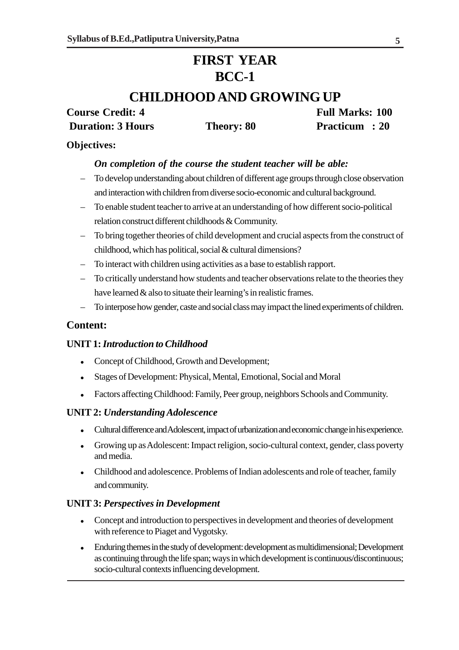## **FIRST YEAR BCC-1**

## **CHILDHOOD AND GROWING UP**

# **Duration: 3 Hours Theory: 80 Practicum : 20**

**Course Credit: 4** Full Marks: 100

#### **Objectives:**

#### *On completion of the course the student teacher will be able:*

- To develop understanding about children of different age groups through close observation and interaction with children from diverse socio-economic and cultural background.
- To enable student teacher to arrive at an understanding of how different socio-political relation construct different childhoods & Community.
- To bring together theories of child development and crucial aspects from the construct of childhood, which has political, social & cultural dimensions?
- To interact with children using activities as a base to establish rapport.
- To critically understand how students and teacher observations relate to the theories they have learned & also to situate their learning's in realistic frames.
- To interpose how gender, caste and social class may impact the lined experiments of children.

#### **Content:**

#### **UNIT 1:** *Introduction to Childhood*

- Concept of Childhood, Growth and Development;
- Stages of Development: Physical, Mental, Emotional, Social and Moral
- Factors affecting Childhood: Family, Peer group, neighbors Schools and Community.

#### **UNIT 2:** *Understanding Adolescence*

- Cultural difference and Adolescent, impact of urbanization and economic change in his experience.
- Growing up as Adolescent: Impact religion, socio-cultural context, gender, class poverty and media.
- Childhood and adolescence. Problems of Indian adolescents and role of teacher, family and community.

#### **UNIT 3:** *Perspectives in Development*

- Concept and introduction to perspectives in development and theories of development with reference to Piaget and Vygotsky.
- Enduring themes in the study of development: development as multidimensional; Development as continuing through the life span; ways in which development is continuous/discontinuous; socio-cultural contexts influencing development.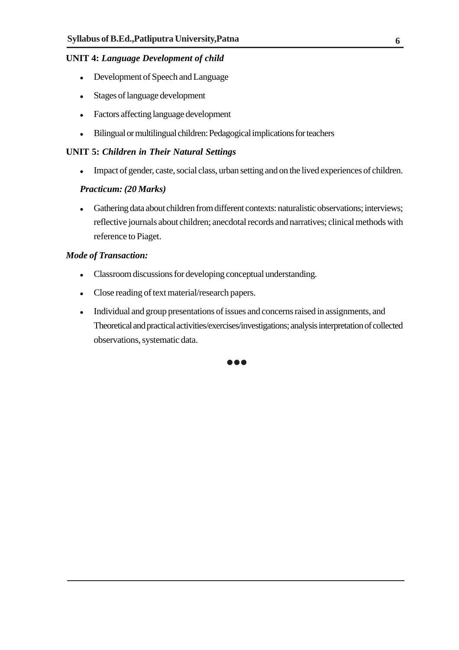#### **UNIT 4:** *Language Development of child*

- Development of Speech and Language
- Stages of language development
- Factors affecting language development
- Bilingual or multilingual children: Pedagogical implications for teachers

#### **UNIT 5:** *Children in Their Natural Settings*

Impact of gender, caste, social class, urban setting and on the lived experiences of children.

#### *Practicum: (20 Marks)*

 Gathering data about children from different contexts: naturalistic observations; interviews; reflective journals about children; anecdotal records and narratives; clinical methods with reference to Piaget.

#### *Mode of Transaction:*

- Classroom discussions for developing conceptual understanding.
- Close reading of text material/research papers.
- Individual and group presentations of issues and concerns raised in assignments, and Theoretical and practical activities/exercises/investigations; analysis interpretation of collected observations, systematic data.

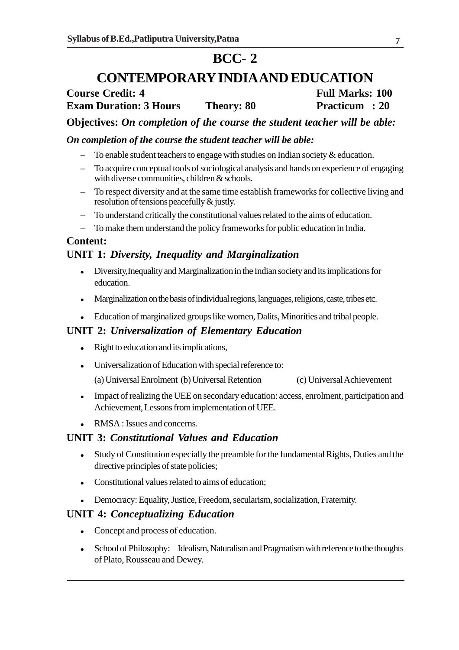## **BCC- 2**

## **CONTEMPORARY INDIA AND EDUCATION**

## **Course Credit: 4 Full Marks: 100 Exam Duration: 3 Hours Theory: 80 Practicum : 20**

**Objectives:** *On completion of the course the student teacher will be able:*

#### *On completion of the course the student teacher will be able:*

- To enable student teachers to engage with studies on Indian society  $\&$  education.
- To acquire conceptual tools of sociological analysis and hands on experience of engaging with diverse communities, children & schools.
- To respect diversity and at the same time establish frameworks for collective living and resolution of tensions peacefully & justly.
- To understand critically the constitutional values related to the aims of education.
- To make them understand the policy frameworks for public education in India.

#### **Content:**

### **UNIT 1:** *Diversity, Inequality and Marginalization*

- Diversity,Inequality and Marginalization in the Indian society and its implications for education.
- Marginalization on the basis of individual regions, languages, religions, caste, tribes etc.
- Education of marginalized groups like women, Dalits, Minorities and tribal people.

#### **UNIT 2:** *Universalization of Elementary Education*

- Right to education and its implications,
- Universalization of Education with special reference to:

(a) Universal Enrolment (b) Universal Retention (c) Universal Achievement

- Impact of realizing the UEE on secondary education: access, enrolment, participation and Achievement, Lessons from implementation of UEE.
- RMSA : Issues and concerns.

#### **UNIT 3:** *Constitutional Values and Education*

- Study of Constitution especially the preamble for the fundamental Rights, Duties and the directive principles of state policies;
- Constitutional values related to aims of education;
- Democracy: Equality, Justice, Freedom, secularism, socialization, Fraternity.

#### **UNIT 4:** *Conceptualizing Education*

- Concept and process of education.
- School of Philosophy: Idealism, Naturalism and Pragmatism with reference to the thoughts of Plato, Rousseau and Dewey.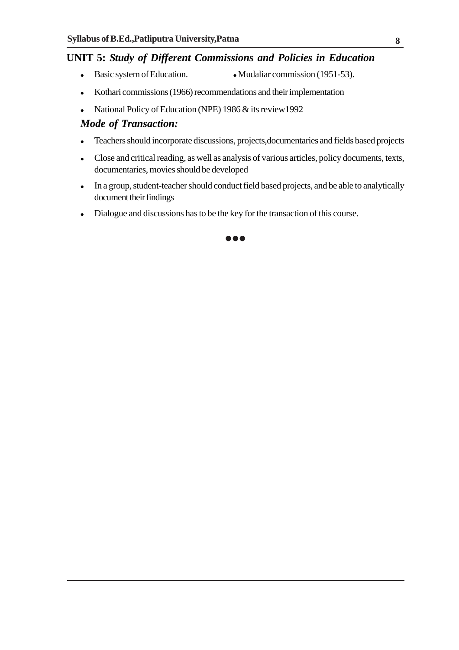#### **UNIT 5:** *Study of Different Commissions and Policies in Education*

- Basic system of Education. Mudaliar commission (1951-53).
- Kothari commissions (1966) recommendations and their implementation
- National Policy of Education (NPE) 1986 & its review 1992

#### *Mode of Transaction:*

- Teachers should incorporate discussions, projects,documentaries and fields based projects
- Close and critical reading, as well as analysis of various articles, policy documents, texts, documentaries, movies should be developed
- In a group, student-teacher should conduct field based projects, and be able to analytically document their findings
- Dialogue and discussions has to be the key for the transaction of this course.

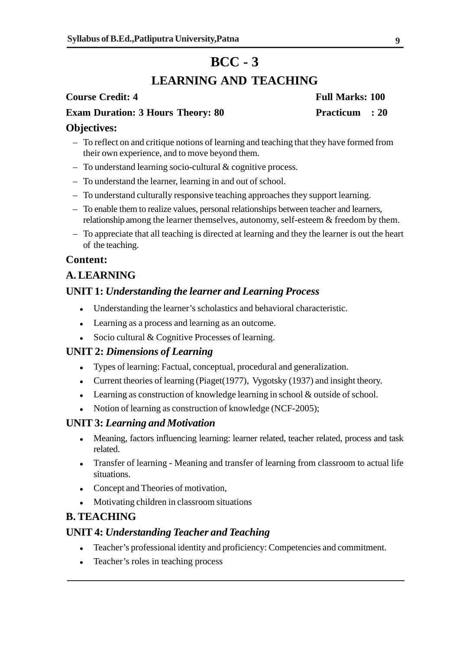## **BCC - 3**

## **LEARNING AND TEACHING**

#### **Course Credit: 4** Full Marks: 100

### **Exam Duration: 3 Hours Theory: 80 Practicum : 20**

#### **Objectives:**

- To reflect on and critique notions of learning and teaching that they have formed from their own experience, and to move beyond them.
- To understand learning socio-cultural & cognitive process.
- To understand the learner, learning in and out of school.
- To understand culturally responsive teaching approaches they support learning.
- To enable them to realize values, personal relationships between teacher and learners, relationship among the learner themselves, autonomy, self-esteem & freedom by them.
- To appreciate that all teaching is directed at learning and they the learner is out the heart of the teaching.

#### **Content:**

### **A. LEARNING**

#### **UNIT 1:** *Understanding the learner and Learning Process*

- Understanding the learner's scholastics and behavioral characteristic.
- Learning as a process and learning as an outcome.
- Socio cultural & Cognitive Processes of learning.

#### **UNIT 2:** *Dimensions of Learning*

- Types of learning: Factual, conceptual, procedural and generalization.
- Current theories of learning (Piaget(1977), Vygotsky (1937) and insight theory.
- Learning as construction of knowledge learning in school & outside of school.
- Notion of learning as construction of knowledge (NCF-2005);

#### **UNIT 3:** *Learning and Motivation*

- Meaning, factors influencing learning: learner related, teacher related, process and task related.
- Transfer of learning Meaning and transfer of learning from classroom to actual life situations.
- Concept and Theories of motivation,
- Motivating children in classroom situations

#### **B. TEACHING**

#### **UNIT 4:** *Understanding Teacher and Teaching*

- Teacher's professional identity and proficiency: Competencies and commitment.
- Teacher's roles in teaching process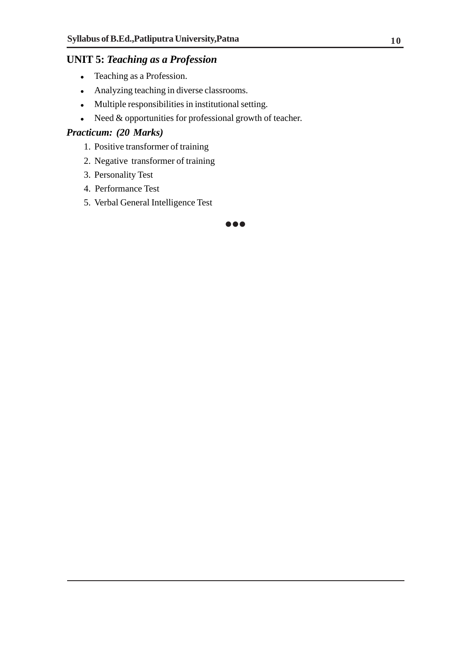## **UNIT 5:** *Teaching as a Profession*

- Teaching as a Profession.
- Analyzing teaching in diverse classrooms.
- Multiple responsibilities in institutional setting.
- $\bullet$  Need & opportunities for professional growth of teacher.

#### *Practicum: (20 Marks)*

- 1. Positive transformer of training
- 2. Negative transformer of training
- 3. Personality Test
- 4. Performance Test
- 5. Verbal General Intelligence Test

**000**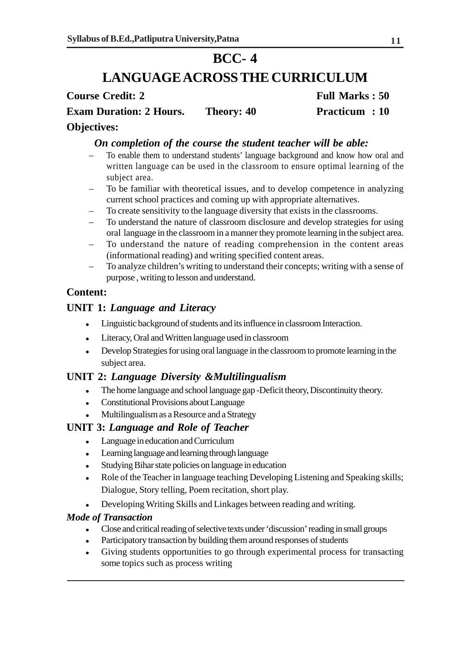## **BCC- 4**

## **LANGUAGE ACROSS THE CURRICULUM**

**Course Credit: 2** Full Marks : 50

**Exam Duration: 2 Hours.** Theory: 40 **Practicum : 10** 

#### **Objectives:**

### *On completion of the course the student teacher will be able:*

- To enable them to understand students' language background and know how oral and written language can be used in the classroom to ensure optimal learning of the subject area.
- To be familiar with theoretical issues, and to develop competence in analyzing current school practices and coming up with appropriate alternatives.
- To create sensitivity to the language diversity that exists in the classrooms.
- To understand the nature of classroom disclosure and develop strategies for using oral language in the classroom in a manner they promote learning in the subject area.
- To understand the nature of reading comprehension in the content areas (informational reading) and writing specified content areas.
- To analyze children's writing to understand their concepts; writing with a sense of purpose , writing to lesson and understand.

## **Content:**

## **UNIT 1:** *Language and Literacy*

- Linguistic background of students and its influence in classroom Interaction.
- Literacy, Oral and Written language used in classroom
- Develop Strategies for using oral language in the classroom to promote learning in the subject area.

## **UNIT 2:** *Language Diversity &Multilingualism*

- The home language and school language gap -Deficit theory, Discontinuity theory.
- Constitutional Provisions about Language
- Multilingualism as a Resource and a Strategy

#### **UNIT 3:** *Language and Role of Teacher*

- Language in education and Curriculum
- Learning language and learning through language
- Studying Bihar state policies on language in education
- Role of the Teacher in language teaching Developing Listening and Speaking skills; Dialogue, Story telling, Poem recitation, short play.
- Developing Writing Skills and Linkages between reading and writing.

#### *Mode of Transaction*

- Close and critical reading of selective texts under 'discussion' reading in small groups
- Participatory transaction by building them around responses of students
- Giving students opportunities to go through experimental process for transacting some topics such as process writing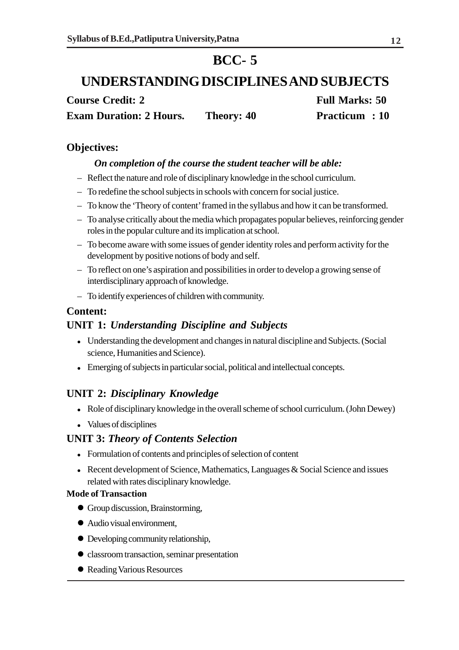## **BCC- 5**

## **UNDERSTANDING DISCIPLINES AND SUBJECTS**

**Course Credit: 2 Full Marks: 50 Exam Duration: 2 Hours.** Theory: 40 **Practicum : 10** 

### **Objectives:**

#### *On completion of the course the student teacher will be able:*

- Reflect the nature and role of disciplinary knowledge in the school curriculum.
- To redefine the school subjects in schools with concern for social justice.
- To know the 'Theory of content' framed in the syllabus and how it can be transformed.
- To analyse critically about the media which propagates popular believes, reinforcing gender roles in the popular culture and its implication at school.
- To become aware with some issues of gender identity roles and perform activity for the development by positive notions of body and self.
- To reflect on one's aspiration and possibilities in order to develop a growing sense of interdisciplinary approach of knowledge.
- To identify experiences of children with community.

#### **Content:**

### **UNIT 1:** *Understanding Discipline and Subjects*

- Understanding the development and changes in natural discipline and Subjects. (Social science, Humanities and Science).
- Emerging of subjects in particular social, political and intellectual concepts.

## **UNIT 2:** *Disciplinary Knowledge*

- Role of disciplinary knowledge in the overall scheme of school curriculum. (John Dewey)
- Values of disciplines

#### **UNIT 3:** *Theory of Contents Selection*

- Formulation of contents and principles of selection of content
- Recent development of Science, Mathematics, Languages  $\&$  Social Science and issues related with rates disciplinary knowledge.

#### **Mode of Transaction**

- Group discussion, Brainstorming,
- Audio visual environment,
- Developing community relationship,
- classroom transaction, seminar presentation
- Reading Various Resources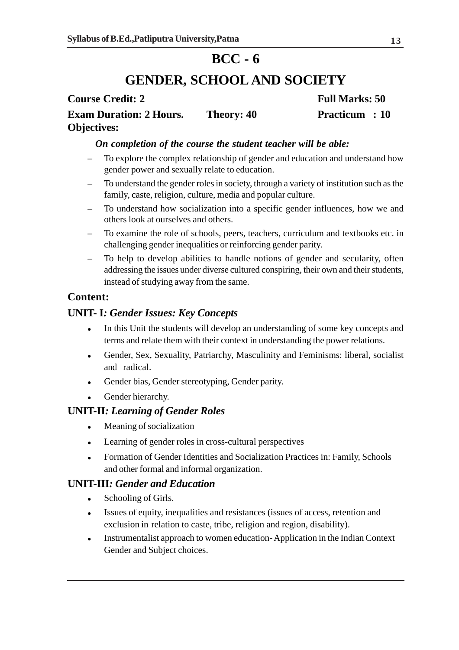## **BCC - 6**

## **GENDER, SCHOOL AND SOCIETY**

## **Course Credit: 2** Full Marks: 50 **Exam Duration: 2 Hours. Theory: 40 Practicum : 10 Objectives:**

#### *On completion of the course the student teacher will be able:*

- To explore the complex relationship of gender and education and understand how gender power and sexually relate to education.
- To understand the gender roles in society, through a variety of institution such as the family, caste, religion, culture, media and popular culture.
- To understand how socialization into a specific gender influences, how we and others look at ourselves and others.
- To examine the role of schools, peers, teachers, curriculum and textbooks etc. in challenging gender inequalities or reinforcing gender parity.
- To help to develop abilities to handle notions of gender and secularity, often addressing the issues under diverse cultured conspiring, their own and their students, instead of studying away from the same.

## **Content:**

## **UNIT- I***: Gender Issues: Key Concepts*

- In this Unit the students will develop an understanding of some key concepts and terms and relate them with their context in understanding the power relations.
- Gender, Sex, Sexuality, Patriarchy, Masculinity and Feminisms: liberal, socialist and radical.
- Gender bias, Gender stereotyping, Gender parity.
- Gender hierarchy.

## **UNIT-II***: Learning of Gender Roles*

- Meaning of socialization
- Learning of gender roles in cross-cultural perspectives
- Formation of Gender Identities and Socialization Practices in: Family, Schools and other formal and informal organization.

## **UNIT-III***: Gender and Education*

- Schooling of Girls.
- Issues of equity, inequalities and resistances (issues of access, retention and exclusion in relation to caste, tribe, religion and region, disability).
- Instrumentalist approach to women education- Application in the Indian Context Gender and Subject choices.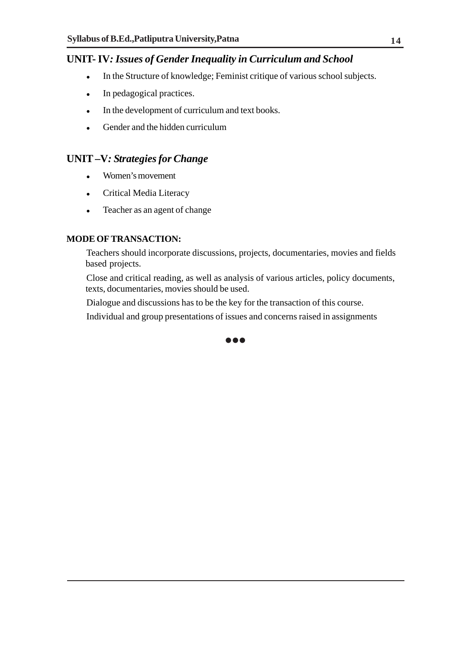## **UNIT- IV***: Issues of Gender Inequality in Curriculum and School*

- In the Structure of knowledge; Feminist critique of various school subjects.
- In pedagogical practices.
- In the development of curriculum and text books.
- Gender and the hidden curriculum

### **UNIT –V***: Strategies for Change*

- Women's movement
- Critical Media Literacy
- Teacher as an agent of change

#### **MODE OF TRANSACTION:**

Teachers should incorporate discussions, projects, documentaries, movies and fields based projects.

Close and critical reading, as well as analysis of various articles, policy documents, texts, documentaries, movies should be used.

Dialogue and discussions has to be the key for the transaction of this course.

Individual and group presentations of issues and concerns raised in assignments

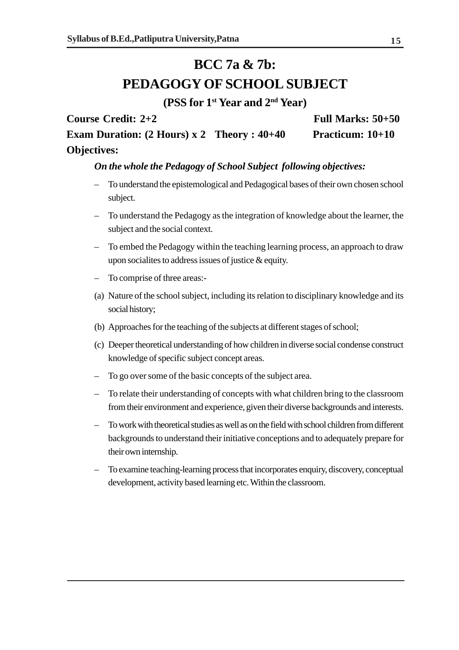## **BCC 7a & 7b: PEDAGOGY OF SCHOOL SUBJECT**

**(PSS for 1st Year and 2nd Year)**

**Course Credit: 2+2 Full Marks: 50+50 Exam Duration: (2 Hours) x 2 Theory : 40+40 Practicum: 10+10 Objectives:**

#### *On the whole the Pedagogy of School Subject following objectives:*

- To understand the epistemological and Pedagogical bases of their own chosen school subject.
- To understand the Pedagogy as the integration of knowledge about the learner, the subject and the social context.
- To embed the Pedagogy within the teaching learning process, an approach to draw upon socialites to address issues of justice & equity.
- To comprise of three areas:-
- (a) Nature of the school subject, including its relation to disciplinary knowledge and its social history;
- (b) Approaches for the teaching of the subjects at different stages of school;
- (c) Deeper theoretical understanding of how children in diverse social condense construct knowledge of specific subject concept areas.
- To go over some of the basic concepts of the subject area.
- To relate their understanding of concepts with what children bring to the classroom from their environment and experience, given their diverse backgrounds and interests.
- To work with theoretical studies as well as on the field with school children from different backgrounds to understand their initiative conceptions and to adequately prepare for their own internship.
- To examine teaching-learning process that incorporates enquiry, discovery, conceptual development, activity based learning etc. Within the classroom.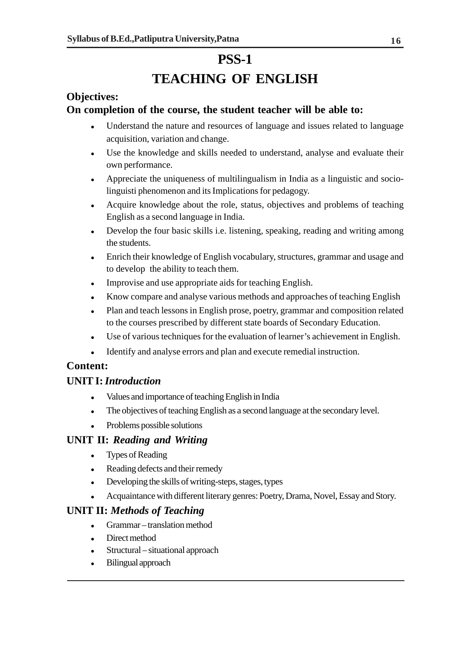## **PSS-1 TEACHING OF ENGLISH**

## **Objectives:**

### **On completion of the course, the student teacher will be able to:**

- Understand the nature and resources of language and issues related to language acquisition, variation and change.
- Use the knowledge and skills needed to understand, analyse and evaluate their own performance.
- Appreciate the uniqueness of multilingualism in India as a linguistic and sociolinguisti phenomenon and its Implications for pedagogy.
- Acquire knowledge about the role, status, objectives and problems of teaching English as a second language in India.
- Develop the four basic skills i.e. listening, speaking, reading and writing among the students.
- Enrich their knowledge of English vocabulary, structures, grammar and usage and to develop the ability to teach them.
- Improvise and use appropriate aids for teaching English.
- Know compare and analyse various methods and approaches of teaching English
- Plan and teach lessons in English prose, poetry, grammar and composition related to the courses prescribed by different state boards of Secondary Education.
- Use of various techniques for the evaluation of learner's achievement in English.
- Identify and analyse errors and plan and execute remedial instruction.

## **Content:**

#### **UNIT I:** *Introduction*

- Values and importance of teaching English in India
- The objectives of teaching English as a second language at the secondary level.
- Problems possible solutions

#### **UNIT II:** *Reading and Writing*

- Types of Reading
- Reading defects and their remedy
- Developing the skills of writing-steps, stages, types
- Acquaintance with different literary genres: Poetry, Drama, Novel, Essay and Story.

#### **UNIT II:** *Methods of Teaching*

- Grammar translation method
- Direct method
- Structural situational approach
- Bilingual approach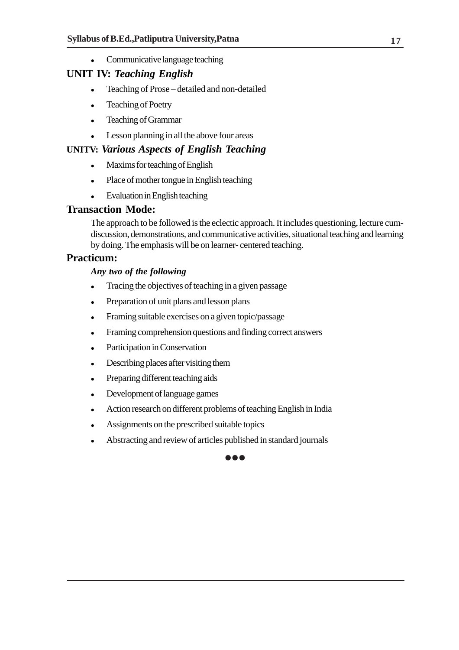• Communicative language teaching

### **UNIT IV:** *Teaching English*

- Teaching of Prose detailed and non-detailed
- Teaching of Poetry
- Teaching of Grammar
- Lesson planning in all the above four areas

#### **UNITV:** *Various Aspects of English Teaching*

- Maxims for teaching of English
- Place of mother tongue in English teaching
- Evaluation in English teaching

#### **Transaction Mode:**

The approach to be followed is the eclectic approach. It includes questioning, lecture cumdiscussion, demonstrations, and communicative activities, situational teaching and learning by doing. The emphasis will be on learner- centered teaching.

#### **Practicum:**

#### *Any two of the following*

- Tracing the objectives of teaching in a given passage
- Preparation of unit plans and lesson plans
- Framing suitable exercises on a given topic/passage
- Framing comprehension questions and finding correct answers
- Participation in Conservation
- Describing places after visiting them
- Preparing different teaching aids
- Development of language games
- Action research on different problems of teaching English in India
- Assignments on the prescribed suitable topics
- Abstracting and review of articles published in standard journals

#### **...**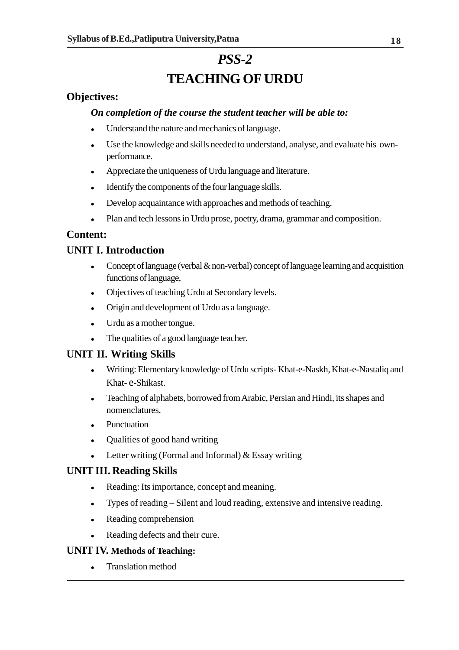## *PSS-2* **TEACHING OF URDU**

## **Objectives:**

#### *On completion of the course the student teacher will be able to:*

- Understand the nature and mechanics of language.
- Use the knowledge and skills needed to understand, analyse, and evaluate his ownperformance.
- Appreciate the uniqueness of Urdu language and literature.
- Identify the components of the four language skills.
- Develop acquaintance with approaches and methods of teaching.
- Plan and tech lessons in Urdu prose, poetry, drama, grammar and composition.

### **Content:**

## **UNIT I. Introduction**

- Concept of language (verbal  $\&$  non-verbal) concept of language learning and acquisition functions of language,
- Objectives of teaching Urdu at Secondary levels.
- Origin and development of Urdu as a language.
- Urdu as a mother tongue.
- The qualities of a good language teacher.

## **UNIT II. Writing Skills**

- Writing: Elementary knowledge of Urdu scripts- Khat-e-Naskh, Khat-e-Nastaliq and Khat- e-Shikast.
- Teaching of alphabets, borrowed from Arabic, Persian and Hindi, its shapes and nomenclatures.
- Punctuation
- Qualities of good hand writing
- Example 1. Letter writing (Formal and Informal)  $&$  Essay writing

## **UNIT III. Reading Skills**

- Reading: Its importance, concept and meaning.
- Types of reading Silent and loud reading, extensive and intensive reading.
- Reading comprehension
- Reading defects and their cure.

#### **UNIT IV. Methods of Teaching:**

Translation method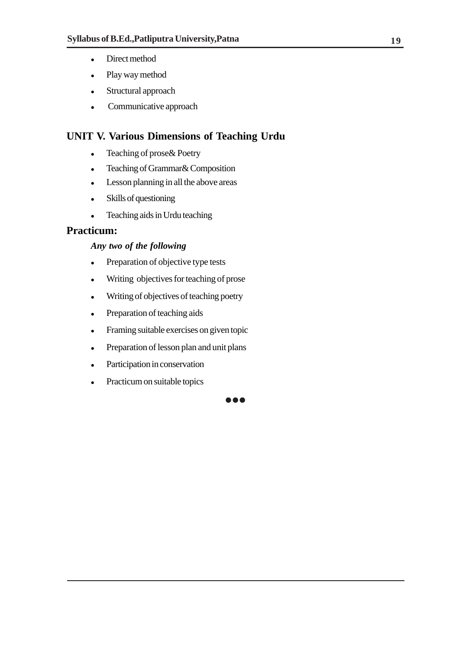- Direct method
- Play way method
- Structural approach
- Communicative approach

## **UNIT V. Various Dimensions of Teaching Urdu**

- Teaching of prose & Poetry
- Teaching of Grammar& Composition
- Lesson planning in all the above areas
- Skills of questioning
- Teaching aids in Urdu teaching

### **Practicum:**

#### *Any two of the following*

- Preparation of objective type tests
- Writing objectives for teaching of prose
- Writing of objectives of teaching poetry
- Preparation of teaching aids
- Framing suitable exercises on given topic
- Preparation of lesson plan and unit plans
- Participation in conservation
- Practicum on suitable topics

**AAA**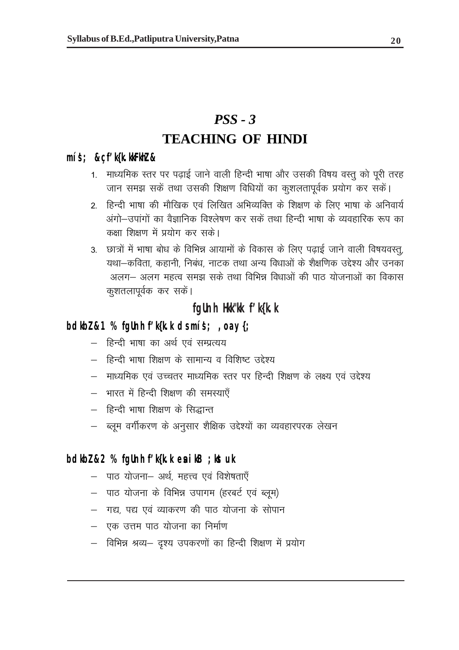## *PSS - 3* **TEACHING OF HINDI**

### **mís'; &çf'k{k.kkFkhZ &**

- 1. माध्यमिक स्तर पर पढ़ाई जाने वाली हिन्दी भाषा और उसकी विषय वस्तू को पूरी तरह जान समझ सकें तथा उसकी शिक्षण विधियों का कुशलतापूर्वक प्रयोग कर सकें।
- 2. हिन्दी भाषा की मौखिक एवं लिखित अभिव्यक्ति के शिक्षण के लिए भाषा के अनिवार्य अंगो—उपांगों का वैज्ञानिक विश्लेषण कर सकें तथा हिन्दी भाषा के व्यवहारिक रूप का कक्षा शिक्षण में प्रयोग कर सके।
- 3. छात्रों में भाषा बोध के विभिन्न आयामों के विकास के लिए पढाई जाने वाली विषयवस्त्, यथा-कविता, कहानी, निबंध, नाटक तथा अन्य विधाओं के शैक्षणिक उद्देश्य और उनका अलग— अलग महत्व समझ सके तथा विभिन्न विधाओं की पाठ योजनाओं का विकास कुशतलापूर्वक कर सकें।

## **fgUnh Hkk"kk f'k{k.k**

## **bdkbZ &1 % fgUnh f'k{k.k ds mís'; ,oa y{;**

- हिन्दी भाषा का अर्थ एवं सम्प्रत्यय
- हिन्दी भाषा शिक्षण के सामान्य व विशिष्ट उद्देश्य
- माध्यमिक एवं उच्चतर माध्यमिक स्तर पर हिन्दी शिक्षण के लक्ष्य एवं उद्देश्य
- भारत में हिन्दी शिक्षण की समस्याएँ
- हिन्दी भाषा शिक्षण के सिद्धान्त
- ब्लूम वर्गीकरण के अनुसार शैक्षिक उद्देश्यों का व्यवहारपरक लेखन

### **bdkbZ &2 % fgUnh f'k{k.k esa ikB ;kstuk**

- पाठ योजना- अर्थ, महत्त्व एवं विशेषताएँ
- $-$  पाठ योजना के विभिन्न उपागम (हरबर्ट एवं ब्लूम)
- गद्य, पद्य एवं व्याकरण की पाठ योजना के सोपान
- एक उत्तम पाठ योजना का निर्माण
- विभिन्न श्रव्य— दृश्य उपकरणों का हिन्दी शिक्षण में प्रयोग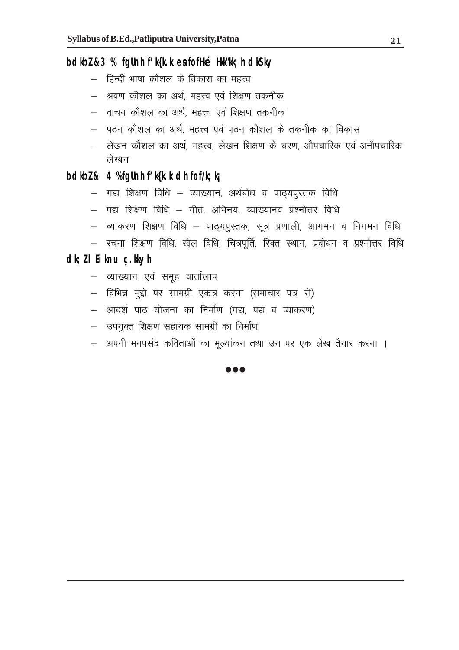## **bdkbZ &3 % fgUnh f'k{k.k esa fofHké Hkk"kk;h dkS'ky**

- हिन्दी भाषा कौशल के विकास का महत्त्व
- श्रवण कौशल का अर्थ, महत्त्व एवं शिक्षण तकनीक
- वाचन कोशल का अर्थ, महत्त्व एवं शिक्षण तकनीक
- पठन कौशल का अर्थ, महत्त्व एवं पठन कौशल के तकनीक का विकास
- लेखन कौशल का अर्थ, महत्त्व, लेखन शिक्षण के चरण, औपचारिक एवं अनौपचारिक लेखन

## **bdkbZ & 4 % fgUnh f'k{k.k dh fof/k;k¡**

- $-$  गद्य शिक्षण विधि व्याख्यान, अर्थबोध व पाठ्यपुस्तक विधि
- $-$  पद्य शिक्षण विधि  $-$  गीत, अभिनय, व्याख्यानव प्रश्नोत्तर विधि
- व्याकरण शिक्षण विधि पाठयपुस्तक, सूत्र प्रणाली, आगमन व निगमन विधि
- $-$  रचना शिक्षण विधि, खेल विधि, चित्रपूर्ति, रिक्त स्थान, प्रबोधन व प्रश्नोत्तर विधि

### **dk;Z lEiknu ç.kkyh**

- व्याख्यान एवं समूह वार्तालाप
- विभिन्न मुद्दो पर सामग्री एकत्र करना (समाचार पत्र से)
- आदर्श पाठ योजना का निर्माण (गद्य, पद्य व व्याकरण)
- उपयुक्त शिक्षण सहायक सामग्री का निर्माण
- अपनी मनपसंद कविताओं का मुल्यांकन तथा उन पर एक लेख तैयार करना ।

 $\bullet\bullet\bullet$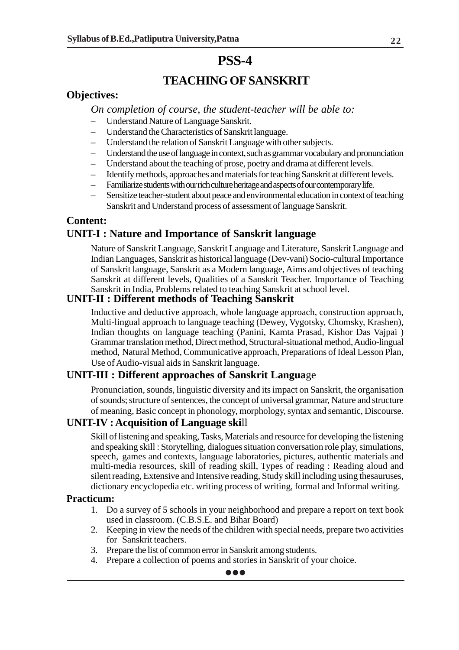## **TEACHING OF SANSKRIT**

#### **Objectives:**

*On completion of course, the student-teacher will be able to:*

- Understand Nature of Language Sanskrit.
- Understand the Characteristics of Sanskrit language.
- Understand the relation of Sanskrit Language with other subjects.
- Understand the use of language in context, such as grammar vocabulary and pronunciation
- Understand about the teaching of prose, poetry and drama at different levels.
- Identify methods, approaches and materials for teaching Sanskrit at different levels.
- Familiarize students with our rich culture heritage and aspects of our contemporary life.
- Sensitize teacher-student about peace and environmental education in context of teaching Sanskrit and Understand process of assessment of language Sanskrit.

#### **Content: UNIT-I : Nature and Importance of Sanskrit language**

Nature of Sanskrit Language, Sanskrit Language and Literature, Sanskrit Language and Indian Languages, Sanskrit as historical language (Dev-vani) Socio-cultural Importance of Sanskrit language, Sanskrit as a Modern language, Aims and objectives of teaching Sanskrit at different levels, Qualities of a Sanskrit Teacher. Importance of Teaching Sanskrit in India, Problems related to teaching Sanskrit at school level.

#### **UNIT-II : Different methods of Teaching Sanskrit**

Inductive and deductive approach, whole language approach, construction approach, Multi-lingual approach to language teaching (Dewey, Vygotsky, Chomsky, Krashen), Indian thoughts on language teaching (Panini, Kamta Prasad, Kishor Das Vajpai ) Grammar translation method, Direct method, Structural-situational method, Audio-lingual method, Natural Method, Communicative approach, Preparations of Ideal Lesson Plan, Use of Audio-visual aids in Sanskrit language.

#### **UNIT-III : Different approaches of Sanskrit Langua**ge

Pronunciation, sounds, linguistic diversity and its impact on Sanskrit, the organisation of sounds; structure of sentences, the concept of universal grammar, Nature and structure of meaning, Basic concept in phonology, morphology, syntax and semantic, Discourse.

#### **UNIT-IV : Acquisition of Language ski**ll

Skill of listening and speaking, Tasks, Materials and resource for developing the listening and speaking skill : Storytelling, dialogues situation conversation role play, simulations, speech, games and contexts, language laboratories, pictures, authentic materials and multi-media resources, skill of reading skill, Types of reading : Reading aloud and silent reading, Extensive and Intensive reading, Study skill including using thesauruses, dictionary encyclopedia etc. writing process of writing, formal and Informal writing.

#### **Practicum:**

- 1. Do a survey of 5 schools in your neighborhood and prepare a report on text book used in classroom. (C.B.S.E. and Bihar Board)
- 2. Keeping in view the needs of the children with special needs, prepare two activities for Sanskrit teachers.
- 3. Prepare the list of common error in Sanskrit among students.
- 4. Prepare a collection of poems and stories in Sanskrit of your choice.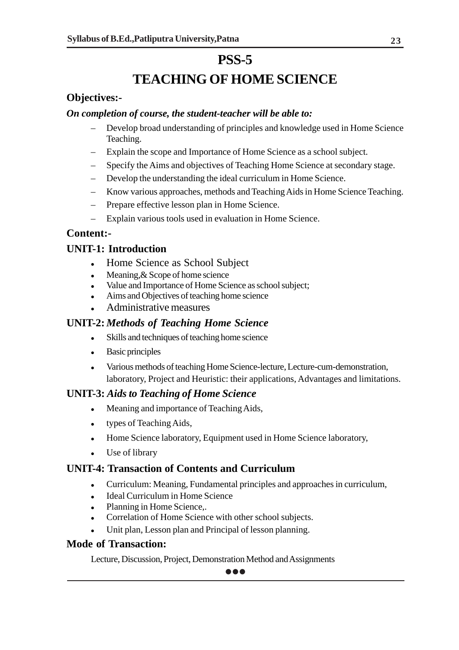## **TEACHING OF HOME SCIENCE**

## **Objectives:-**

#### *On completion of course, the student-teacher will be able to:*

- Develop broad understanding of principles and knowledge used in Home Science Teaching.
- Explain the scope and Importance of Home Science as a school subject.
- Specify the Aims and objectives of Teaching Home Science at secondary stage.
- Develop the understanding the ideal curriculum in Home Science.
- Know various approaches, methods and Teaching Aids in Home Science Teaching.
- Prepare effective lesson plan in Home Science.
- Explain various tools used in evaluation in Home Science.

### **Content:-**

## **UNIT-1: Introduction**

- Home Science as School Subject
- Meaning, & Scope of home science
- Value and Importance of Home Science as school subject;
- Aims and Objectives of teaching home science
- Administrative measures

### **UNIT-2:** *Methods of Teaching Home Science*

- Skills and techniques of teaching home science
- Basic principles
- Various methods of teaching Home Science-lecture, Lecture-cum-demonstration, laboratory, Project and Heuristic: their applications, Advantages and limitations.

#### **UNIT-3:** *Aids to Teaching of Home Science*

- Meaning and importance of Teaching Aids,
- types of Teaching Aids,
- Home Science laboratory, Equipment used in Home Science laboratory,
- Use of library

## **UNIT-4: Transaction of Contents and Curriculum**

- Curriculum: Meaning, Fundamental principles and approaches in curriculum,
- Ideal Curriculum in Home Science
- Planning in Home Science..
- Correlation of Home Science with other school subjects.
- Unit plan, Lesson plan and Principal of lesson planning.

#### **Mode of Transaction:**

Lecture, Discussion, Project, Demonstration Method and Assignments

 $\bullet\bullet\bullet$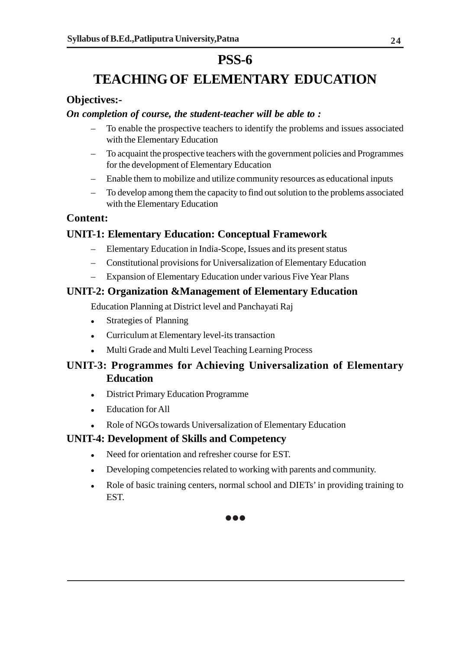## **TEACHING OF ELEMENTARY EDUCATION**

### **Objectives:-**

#### *On completion of course, the student-teacher will be able to :*

- To enable the prospective teachers to identify the problems and issues associated with the Elementary Education
- To acquaint the prospective teachers with the government policies and Programmes for the development of Elementary Education
- Enable them to mobilize and utilize community resources as educational inputs
- To develop among them the capacity to find out solution to the problems associated with the Elementary Education

### **Content:**

## **UNIT-1: Elementary Education: Conceptual Framework**

- Elementary Education in India-Scope, Issues and its present status
- Constitutional provisions for Universalization of Elementary Education
- Expansion of Elementary Education under various Five Year Plans

### **UNIT-2: Organization &Management of Elementary Education**

Education Planning at District level and Panchayati Raj

- Strategies of Planning
- Curriculum at Elementary level-its transaction
- Multi Grade and Multi Level Teaching Learning Process

## **UNIT-3: Programmes for Achieving Universalization of Elementary Education**

- District Primary Education Programme
- Education for All
- Role of NGOs towards Universalization of Elementary Education

#### **UNIT-4: Development of Skills and Competency**

- Need for orientation and refresher course for EST.
- Developing competencies related to working with parents and community.
- Role of basic training centers, normal school and DIETs' in providing training to **EST.**

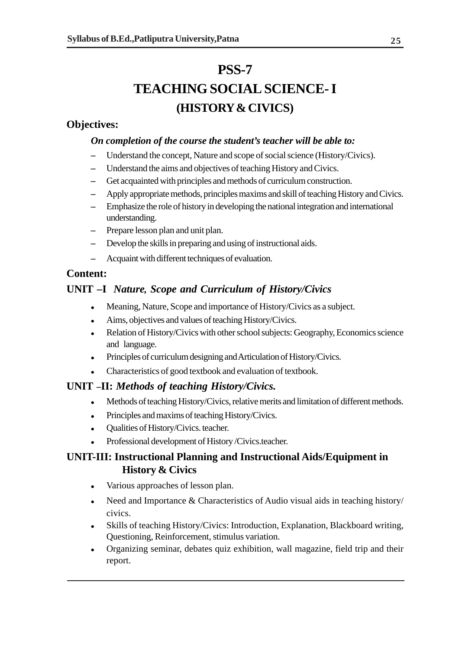# **PSS-7 TEACHING SOCIAL SCIENCE- I (HISTORY & CIVICS)**

### **Objectives:**

#### *On completion of the course the student's teacher will be able to:*

- **–** Understand the concept, Nature and scope of social science (History/Civics).
- **–** Understand the aims and objectives of teaching History and Civics.
- **–** Get acquainted with principles and methods of curriculum construction.
- **–** Apply appropriate methods, principles maxims and skill of teaching History and Civics.
- **–** Emphasize the role of history in developing the national integration and international understanding.
- **–** Prepare lesson plan and unit plan.
- **–** Develop the skills in preparing and using of instructional aids.
- **–** Acquaint with different techniques of evaluation.

## **Content:**

## **UNIT –I** *Nature, Scope and Curriculum of History/Civics*

- Meaning, Nature, Scope and importance of History/Civics as a subject.
- Aims, objectives and values of teaching History/Civics.
- Relation of History/Civics with other school subjects: Geography, Economics science and language.
- Principles of curriculum designing and Articulation of History/Civics.
- Characteristics of good textbook and evaluation of textbook.

## **UNIT –II:** *Methods of teaching History/Civics.*

- Methods of teaching History/Civics, relative merits and limitation of different methods.
- Principles and maxims of teaching History/Civics.
- Qualities of History/Civics. teacher.
- Professional development of History /Civics.teacher.

## **UNIT-III: Instructional Planning and Instructional Aids/Equipment in History & Civics**

- Various approaches of lesson plan.
- Need and Importance & Characteristics of Audio visual aids in teaching history/ civics.
- Skills of teaching History/Civics: Introduction, Explanation, Blackboard writing, Questioning, Reinforcement, stimulus variation.
- Organizing seminar, debates quiz exhibition, wall magazine, field trip and their report.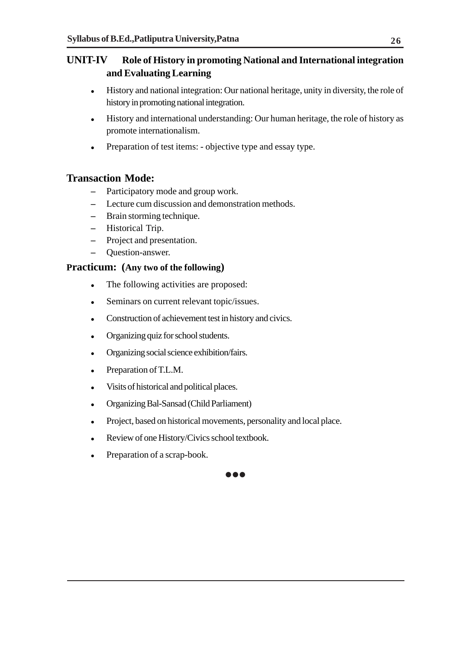## **UNIT-IV Role of History in promoting National and International integration and Evaluating Learning**

- History and national integration: Our national heritage, unity in diversity, the role of history in promoting national integration.
- History and international understanding: Our human heritage, the role of history as promote internationalism.
- Preparation of test items: objective type and essay type.

### **Transaction Mode:**

- **–** Participatory mode and group work.
- **–** Lecture cum discussion and demonstration methods.
- **–** Brain storming technique.
- **–** Historical Trip.
- **–** Project and presentation.
- **–** Question-answer.

#### **Practicum: (Any two of the following)**

- The following activities are proposed:
- Seminars on current relevant topic/issues.
- Construction of achievement test in history and civics.
- Organizing quiz for school students.
- Organizing social science exhibition/fairs.
- Preparation of T.L.M.
- Visits of historical and political places.
- Organizing Bal-Sansad (Child Parliament)
- Project, based on historical movements, personality and local place.

 $\bullet\bullet\bullet$ 

- Review of one History/Civics school textbook.
- Preparation of a scrap-book.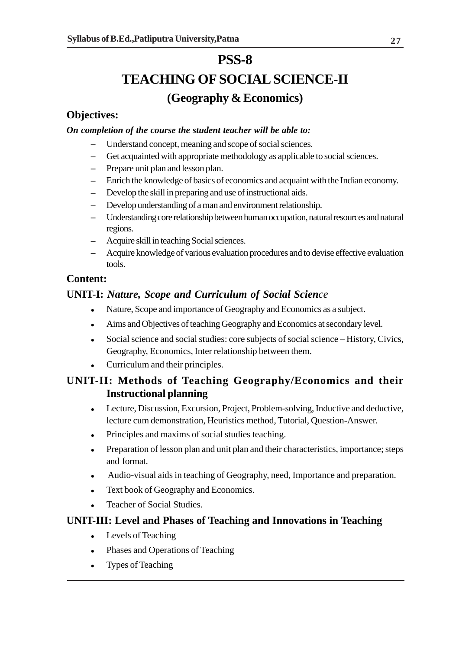## **TEACHING OF SOCIAL SCIENCE-II (Geography & Economics)**

### **Objectives:**

#### *On completion of the course the student teacher will be able to:*

- **–** Understand concept, meaning and scope of social sciences.
- **–** Get acquainted with appropriate methodology as applicable to social sciences.
- **–** Prepare unit plan and lesson plan.
- **–** Enrich the knowledge of basics of economics and acquaint with the Indian economy.
- **–** Develop the skill in preparing and use of instructional aids.
- **–** Develop understanding of a man and environment relationship.
- **–** Understanding core relationship between human occupation, natural resources and natural regions.
- **–** Acquire skill in teaching Social sciences.
- **–** Acquire knowledge of various evaluation procedures and to devise effective evaluation tools.

### **Content:**

## **UNIT-I:** *Nature, Scope and Curriculum of Social Science*

- Nature, Scope and importance of Geography and Economics as a subject.
- Aims and Objectives of teaching Geography and Economics at secondary level.
- Social science and social studies: core subjects of social science History, Civics, Geography, Economics, Inter relationship between them.
- Curriculum and their principles.

## **UNIT-II: Methods of Teaching Geography/Economics and their Instructional planning**

- Lecture, Discussion, Excursion, Project, Problem-solving, Inductive and deductive, lecture cum demonstration, Heuristics method, Tutorial, Question-Answer.
- Principles and maxims of social studies teaching.
- Preparation of lesson plan and unit plan and their characteristics, importance; steps and format.
- Audio-visual aids in teaching of Geography, need, Importance and preparation.
- Text book of Geography and Economics.
- Teacher of Social Studies.

#### **UNIT-III: Level and Phases of Teaching and Innovations in Teaching**

- Levels of Teaching
- Phases and Operations of Teaching
- Types of Teaching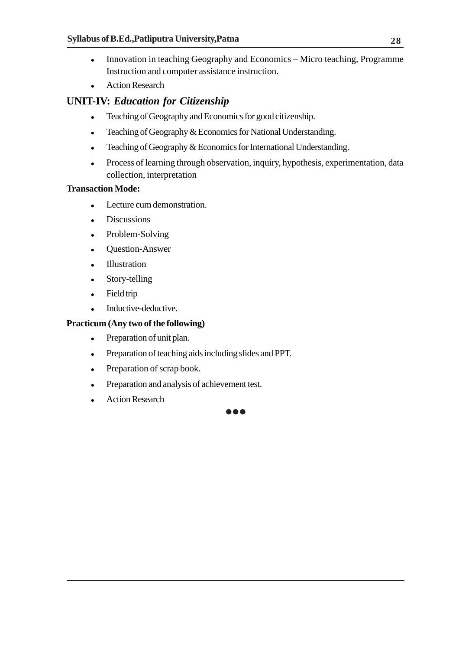- Innovation in teaching Geography and Economics Micro teaching, Programme Instruction and computer assistance instruction.
- Action Research

## **UNIT-IV:** *Education for Citizenship*

- Teaching of Geography and Economics for good citizenship.
- Teaching of Geography & Economics for National Understanding.
- Teaching of Geography & Economics for International Understanding.
- Process of learning through observation, inquiry, hypothesis, experimentation, data collection, interpretation

#### **Transaction Mode:**

- Lecture cum demonstration.
- Discussions
- Problem-Solving
- Question-Answer
- Illustration
- Story-telling
- Field trip
- Inductive-deductive.

#### **Practicum (Any two of the following)**

- Preparation of unit plan.
- Preparation of teaching aids including slides and PPT.
- Preparation of scrap book.
- Preparation and analysis of achievement test.
- Action Research

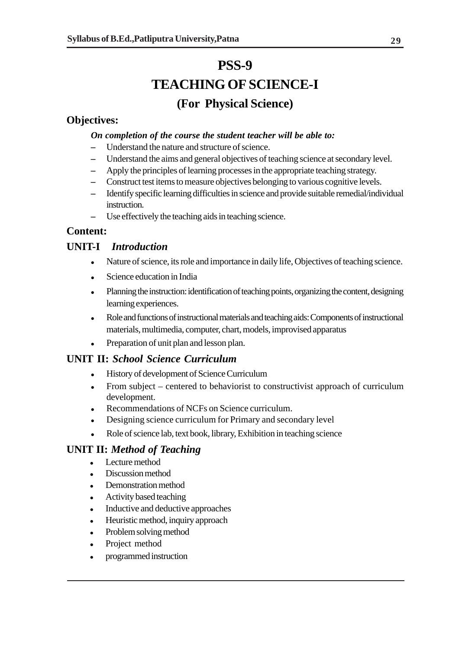# **PSS-9 TEACHING OF SCIENCE-I (For Physical Science)**

### **Objectives:**

#### *On completion of the course the student teacher will be able to:*

- **–** Understand the nature and structure of science.
- **–** Understand the aims and general objectives of teaching science at secondary level.
- **–** Apply the principles of learning processes in the appropriate teaching strategy.
- **–** Construct test items to measure objectives belonging to various cognitive levels.
- **–** Identify specific learning difficulties in science and provide suitable remedial/individual instruction.
- **–** Use effectively the teaching aids in teaching science.

### **Content:**

### **UNIT-I** *Introduction*

- Nature of science, its role and importance in daily life, Objectives of teaching science.
- Science education in India
- Planning the instruction: identification of teaching points, organizing the content, designing learning experiences.
- Role and functions of instructional materials and teaching aids: Components of instructional materials, multimedia, computer, chart, models, improvised apparatus
- Preparation of unit plan and lesson plan.

## **UNIT II:** *School Science Curriculum*

- History of development of Science Curriculum
- From subject centered to behaviorist to constructivist approach of curriculum development.
- Recommendations of NCFs on Science curriculum.
- Designing science curriculum for Primary and secondary level
- Role of science lab, text book, library, Exhibition in teaching science

## **UNIT II:** *Method of Teaching*

- Lecture method
- Discussion method
- Demonstration method
- Activity based teaching
- Inductive and deductive approaches
- Heuristic method, inquiry approach
- Problem solving method
- Project method
- programmed instruction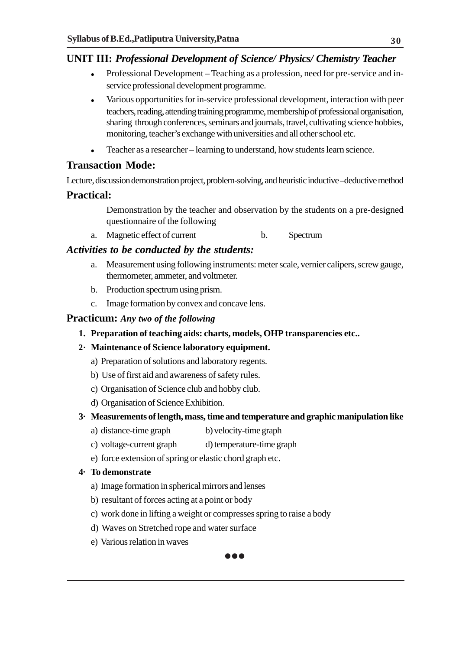### **UNIT III:** *Professional Development of Science/ Physics/ Chemistry Teacher*

- Professional Development Teaching as a profession, need for pre-service and inservice professional development programme.
- Various opportunities for in-service professional development, interaction with peer teachers, reading, attending training programme, membership of professional organisation, sharing through conferences, seminars and journals, travel, cultivating science hobbies, monitoring, teacher's exchange with universities and all other school etc.
- Teacher as a researcher learning to understand, how students learn science.

### **Transaction Mode:**

Lecture, discussion demonstration project, problem-solving, and heuristic inductive –deductive method

### **Practical:**

Demonstration by the teacher and observation by the students on a pre-designed questionnaire of the following

a. Magnetic effect of current b. Spectrum

### *Activities to be conducted by the students:*

- a. Measurement using following instruments: meter scale, vernier calipers, screw gauge, thermometer, ammeter, and voltmeter.
- b. Production spectrum using prism.
- c. Image formation by convex and concave lens.

#### **Practicum:** *Any two of the following*

**1. Preparation of teaching aids: charts, models, OHP transparencies etc..**

#### **2· Maintenance of Science laboratory equipment.**

- a) Preparation of solutions and laboratory regents.
- b) Use of first aid and awareness of safety rules.
- c) Organisation of Science club and hobby club.
- d) Organisation of Science Exhibition.

#### **3· Measurements of length, mass, time and temperature and graphic manipulation like**

- a) distance-time graph b) velocity-time graph
- c) voltage-current graph d) temperature-time graph
- e) force extension of spring or elastic chord graph etc.

#### **4· To demonstrate**

- a) Image formation in spherical mirrors and lenses
- b) resultant of forces acting at a point or body
- c) work done in lifting a weight or compresses spring to raise a body
- d) Waves on Stretched rope and water surface
- e) Various relation in waves

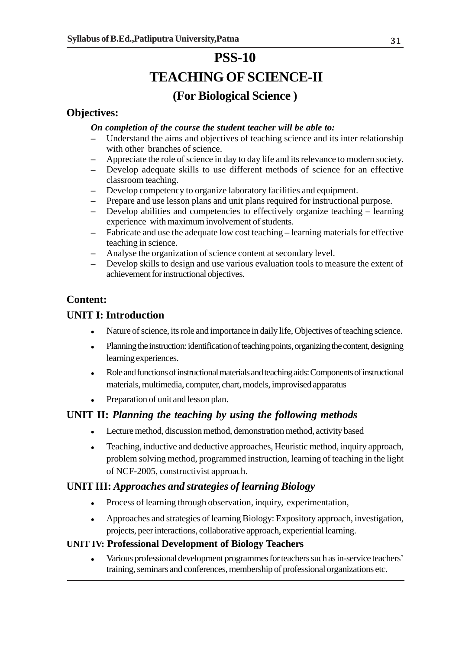## **PSS-10 TEACHING OF SCIENCE-II (For Biological Science )**

## **Objectives:**

#### *On completion of the course the student teacher will be able to:*

- **–** Understand the aims and objectives of teaching science and its inter relationship with other branches of science.
- **–** Appreciate the role of science in day to day life and its relevance to modern society.
- **–** Develop adequate skills to use different methods of science for an effective classroom teaching.
- **–** Develop competency to organize laboratory facilities and equipment.
- **–** Prepare and use lesson plans and unit plans required for instructional purpose.
- **–** Develop abilities and competencies to effectively organize teaching learning experience with maximum involvement of students.
- **–** Fabricate and use the adequate low cost teaching learning materials for effective teaching in science.
- **–** Analyse the organization of science content at secondary level.
- **–** Develop skills to design and use various evaluation tools to measure the extent of achievement for instructional objectives.

## **Content:**

## **UNIT I: Introduction**

- Nature of science, its role and importance in daily life, Objectives of teaching science.
- Planning the instruction: identification of teaching points, organizing the content, designing learning experiences.
- Role and functions of instructional materials and teaching aids: Components of instructional materials, multimedia, computer, chart, models, improvised apparatus
- Preparation of unit and lesson plan.

## **UNIT II:** *Planning the teaching by using the following methods*

- Lecture method, discussion method, demonstration method, activity based
- Teaching, inductive and deductive approaches, Heuristic method, inquiry approach, problem solving method, programmed instruction, learning of teaching in the light of NCF-2005, constructivist approach.

## **UNIT III:** *Approaches and strategies of learning Biology*

- Process of learning through observation, inquiry, experimentation,
- Approaches and strategies of learning Biology: Expository approach, investigation, projects, peer interactions, collaborative approach, experiential learning.

#### **UNIT IV: Professional Development of Biology Teachers**

 Various professional development programmes for teachers such as in-service teachers' training, seminars and conferences, membership of professional organizations etc.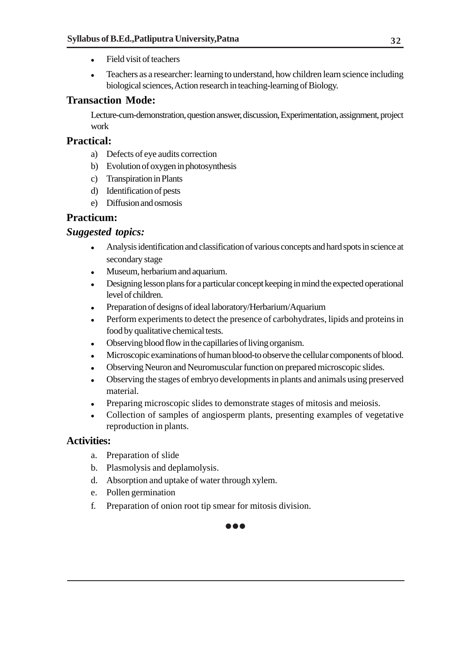- Field visit of teachers
- Teachers as a researcher: learning to understand, how children learn science including biological sciences, Action research in teaching-learning of Biology.

## **Transaction Mode:**

Lecture-cum-demonstration, question answer, discussion, Experimentation, assignment, project work

### **Practical:**

- a) Defects of eye audits correction
- b) Evolution of oxygen in photosynthesis
- c) Transpiration in Plants
- d) Identification of pests
- e) Diffusion and osmosis

## **Practicum:**

### *Suggested topics:*

- Analysis identification and classification of various concepts and hard spots in science at secondary stage
- Museum, herbarium and aquarium.
- Designing lesson plans for a particular concept keeping in mind the expected operational level of children.
- Preparation of designs of ideal laboratory/Herbarium/Aquarium
- Perform experiments to detect the presence of carbohydrates, lipids and proteins in food by qualitative chemical tests.
- Observing blood flow in the capillaries of living organism.
- Microscopic examinations of human blood-to observe the cellular components of blood.
- Observing Neuron and Neuromuscular function on prepared microscopic slides.
- Observing the stages of embryo developments in plants and animals using preserved material.
- Preparing microscopic slides to demonstrate stages of mitosis and meiosis.

 $\bullet\bullet\bullet$ 

 Collection of samples of angiosperm plants, presenting examples of vegetative reproduction in plants.

#### **Activities:**

- a. Preparation of slide
- b. Plasmolysis and deplamolysis.
- d. Absorption and uptake of water through xylem.
- e. Pollen germination
- f. Preparation of onion root tip smear for mitosis division.

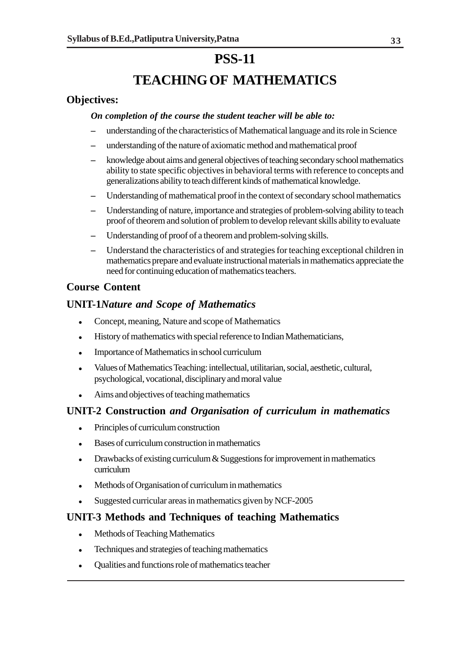## **TEACHING OF MATHEMATICS**

### **Objectives:**

#### *On completion of the course the student teacher will be able to:*

- **–** understanding of the characteristics of Mathematical language and its role in Science
- **–** understanding of the nature of axiomatic method and mathematical proof
- **–** knowledge about aims and general objectives of teaching secondary school mathematics ability to state specific objectives in behavioral terms with reference to concepts and generalizations ability to teach different kinds of mathematical knowledge.
- **–** Understanding of mathematical proof in the context of secondary school mathematics
- **–** Understanding of nature, importance and strategies of problem-solving ability to teach proof of theorem and solution of problem to develop relevant skills ability to evaluate
- **–** Understanding of proof of a theorem and problem-solving skills.
- **–** Understand the characteristics of and strategies for teaching exceptional children in mathematics prepare and evaluate instructional materials in mathematics appreciate the need for continuing education of mathematics teachers.

### **Course Content**

#### **UNIT-1***Nature and Scope of Mathematics*

- Concept, meaning, Nature and scope of Mathematics
- History of mathematics with special reference to Indian Mathematicians,
- Importance of Mathematics in school curriculum
- Values of Mathematics Teaching: intellectual, utilitarian, social, aesthetic, cultural, psychological, vocational, disciplinary and moral value
- Aims and objectives of teaching mathematics

#### **UNIT-2 Construction** *and Organisation of curriculum in mathematics*

- Principles of curriculum construction
- Bases of curriculum construction in mathematics
- Drawbacks of existing curriculum & Suggestions for improvement in mathematics curriculum
- Methods of Organisation of curriculum in mathematics
- Suggested curricular areas in mathematics given by NCF-2005

#### **UNIT-3 Methods and Techniques of teaching Mathematics**

- Methods of Teaching Mathematics
- Techniques and strategies of teaching mathematics
- Qualities and functions role of mathematics teacher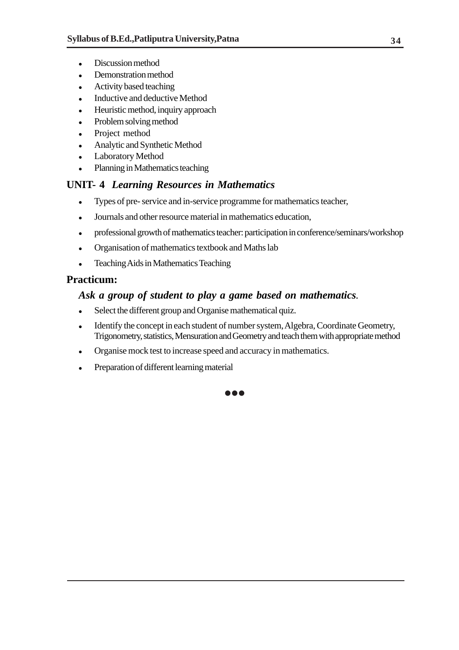- Discussion method
- Demonstration method
- Activity based teaching
- Inductive and deductive Method
- Heuristic method, inquiry approach
- Problem solving method
- Project method
- Analytic and Synthetic Method
- Laboratory Method
- Planning in Mathematics teaching

### **UNIT- 4** *Learning Resources in Mathematics*

- Types of pre- service and in-service programme for mathematics teacher,
- Journals and other resource material in mathematics education,
- professional growth of mathematics teacher: participation in conference/seminars/workshop
- Organisation of mathematics textbook and Maths lab
- Teaching Aids in Mathematics Teaching

#### **Practicum:**

#### *Ask a group of student to play a game based on mathematics.*

- Select the different group and Organise mathematical quiz.
- Identify the concept in each student of number system, Algebra, Coordinate Geometry, Trigonometry, statistics, Mensuration and Geometry and teach them with appropriate method

...

- Organise mock test to increase speed and accuracy in mathematics.
- Preparation of different learning material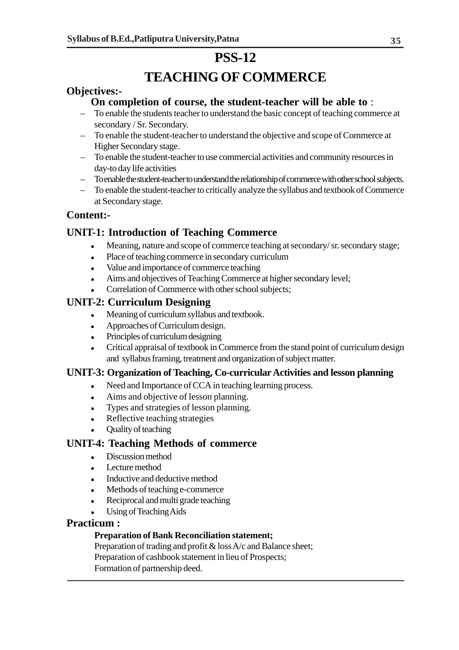## **TEACHING OF COMMERCE**

### **Objectives:-**

### **On completion of course, the student-teacher will be able to** :

- To enable the students teacher to understand the basic concept of teaching commerce at secondary / Sr. Secondary.
- To enable the student-teacher to understand the objective and scope of Commerce at Higher Secondary stage.
- To enable the student-teacher to use commercial activities and community resources in day-to day life activities
- To enable the student-teacher to understand the relationship of commerce with other school subjects.
- To enable the student-teacher to critically analyze the syllabus and textbook of Commerce at Secondary stage.

### **Content:-**

## **UNIT-1: Introduction of Teaching Commerce**

- Meaning, nature and scope of commerce teaching at secondary/ sr. secondary stage;
- Place of teaching commerce in secondary curriculum
- Value and importance of commerce teaching
- Aims and objectives of Teaching Commerce at higher secondary level;
- Correlation of Commerce with other school subjects;

## **UNIT-2: Curriculum Designing**

- Meaning of curriculum syllabus and textbook.
- Approaches of Curriculum design.
- Principles of curriculum designing
- Critical appraisal of textbook in Commerce from the stand point of curriculum design and syllabus framing, treatment and organization of subject matter.

#### **UNIT-3: Organization of Teaching, Co-curricular Activities and lesson planning**

- Need and Importance of CCA in teaching learning process.
- Aims and objective of lesson planning.
- Types and strategies of lesson planning.
- Reflective teaching strategies
- Quality of teaching

#### **UNIT-4: Teaching Methods of commerce**

- Discussion method
- Lecture method
- Inductive and deductive method
- Methods of teaching e-commerce
- Reciprocal and multi grade teaching
- Using of Teaching Aids

#### **Practicum :**

#### **Preparation of Bank Reconciliation statement;**

Preparation of trading and profit & loss A/c and Balance sheet; Preparation of cashbook statement in lieu of Prospects; Formation of partnership deed.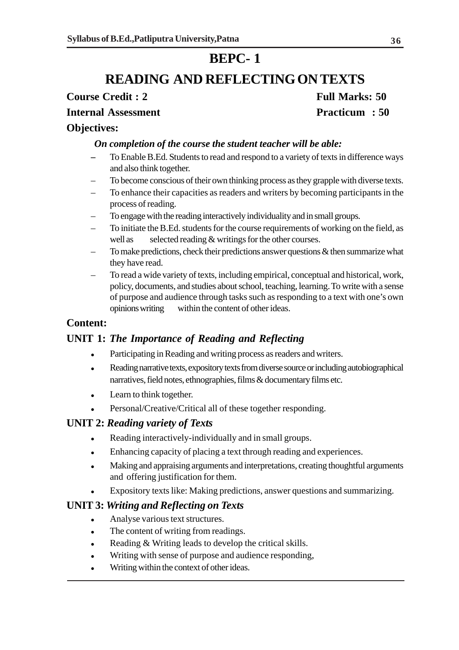## **BEPC- 1**

## **READING AND REFLECTING ON TEXTS**

**Course Credit : 2** Full Marks: 50

#### **Internal Assessment Practicum : 50**

#### **Objectives:**

#### *On completion of the course the student teacher will be able:*

- **–** To Enable B.Ed. Students to read and respond to a variety of texts in difference ways and also think together.
- To become conscious of their own thinking process as they grapple with diverse texts.
- To enhance their capacities as readers and writers by becoming participants in the process of reading.
- To engage with the reading interactively individuality and in small groups.
- To initiate the B.Ed. students for the course requirements of working on the field, as well as selected reading  $&$  writings for the other courses.
- To make predictions, check their predictions answer questions & then summarize what they have read.
- To read a wide variety of texts, including empirical, conceptual and historical, work, policy, documents, and studies about school, teaching, learning. To write with a sense of purpose and audience through tasks such as responding to a text with one's own opinions writing within the content of other ideas.

#### **Content:**

#### **UNIT 1:** *The Importance of Reading and Reflecting*

- Participating in Reading and writing process as readers and writers.
- Reading narrative texts, expository texts from diverse source or including autobiographical narratives, field notes, ethnographies, films & documentary films etc.
- Learn to think together.
- Personal/Creative/Critical all of these together responding.

#### **UNIT 2:** *Reading variety of Texts*

- Reading interactively-individually and in small groups.
- Enhancing capacity of placing a text through reading and experiences.
- Making and appraising arguments and interpretations, creating thoughtful arguments and offering justification for them.
- Expository texts like: Making predictions, answer questions and summarizing.

#### **UNIT 3:** *Writing and Reflecting on Texts*

- Analyse various text structures.
- The content of writing from readings.
- Reading & Writing leads to develop the critical skills.
- Writing with sense of purpose and audience responding,
- Writing within the context of other ideas.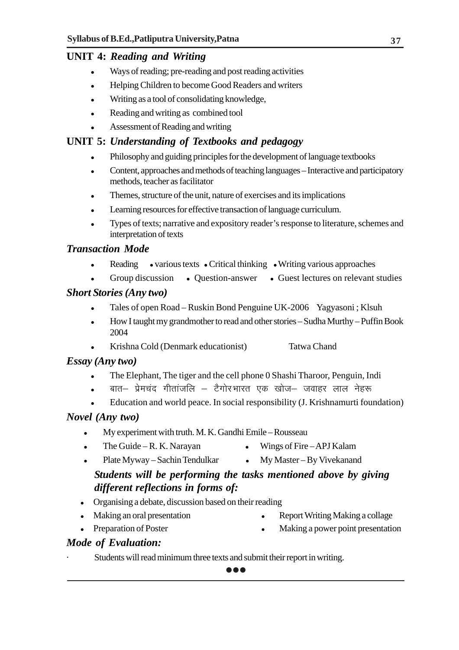## **UNIT 4:** *Reading and Writing*

- Ways of reading; pre-reading and post reading activities
- Helping Children to become Good Readers and writers
- Writing as a tool of consolidating knowledge,
- Reading and writing as combined tool
- Assessment of Reading and writing

## **UNIT 5:** *Understanding of Textbooks and pedagogy*

- Philosophy and guiding principles for the development of language textbooks
- Content, approaches and methods of teaching languages Interactive and participatory methods, teacher as facilitator
- Themes, structure of the unit, nature of exercises and its implications
- Learning resources for effective transaction of language curriculum.
- Types of texts; narrative and expository reader's response to literature, schemes and interpretation of texts

## *Transaction Mode*

- Reading various texts Critical thinking Writing various approaches
- Group discussion Ouestion-answer Guest lectures on relevant studies

### *Short Stories (Any two)*

- Tales of open Road Ruskin Bond Penguine UK-2006 Yagyasoni ; Klsuh
- How I taught my grandmother to read and other stories Sudha Murthy Puffin Book 2004
- Krishna Cold (Denmark educationist) Tatwa Chand

## *Essay (Any two)*

- The Elephant, The tiger and the cell phone 0 Shashi Tharoor, Penguin, Indi
- बात– प्रेमचंद गीतांजलि टैगोरभारत एक खोज– जवाहर लाल नेहरू
- Education and world peace. In social responsibility (J. Krishnamurti foundation)

## *Novel (Any two)*

- My experiment with truth. M. K. Gandhi Emile Rousseau
- The Guide R. K. Narayan  $\bullet$  Wings of Fire APJ Kalam
	-
- Plate Myway Sachin Tendulkar My Master By Vivekanand

## *Students will be performing the tasks mentioned above by giving different reflections in forms of:*

- Organising a debate, discussion based on their reading
- 
- Making an oral presentation Report Writing Making a collage
- 
- 
- Preparation of Poster **Making a power point presentation**

## *Mode of Evaluation:*

Students will read minimum three texts and submit their report in writing.

...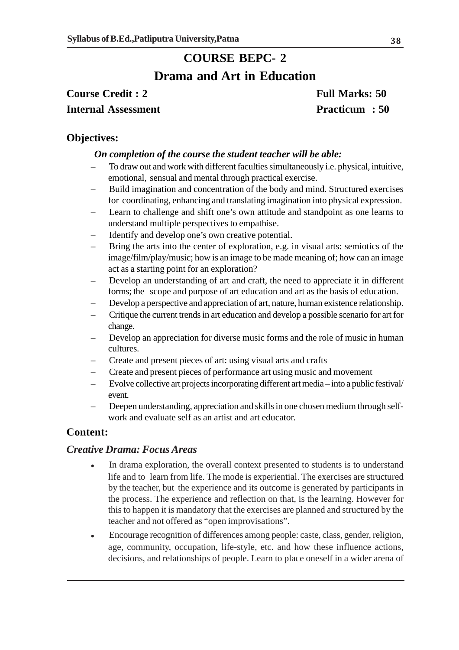## **COURSE BEPC- 2**

## **Drama and Art in Education**

**Course Credit : 2** Full Marks: 50 **Internal Assessment Practicum : 50** 

#### **Objectives:**

#### *On completion of the course the student teacher will be able:*

- To draw out and work with different faculties simultaneously i.e. physical, intuitive, emotional, sensual and mental through practical exercise.
- Build imagination and concentration of the body and mind. Structured exercises for coordinating, enhancing and translating imagination into physical expression.
- Learn to challenge and shift one's own attitude and standpoint as one learns to understand multiple perspectives to empathise.
- Identify and develop one's own creative potential.
- Bring the arts into the center of exploration, e.g. in visual arts: semiotics of the image/film/play/music; how is an image to be made meaning of; how can an image act as a starting point for an exploration?
- Develop an understanding of art and craft, the need to appreciate it in different forms; the scope and purpose of art education and art as the basis of education.
- Develop a perspective and appreciation of art, nature, human existence relationship.
- Critique the current trends in art education and develop a possible scenario for art for change.
- Develop an appreciation for diverse music forms and the role of music in human cultures.
- Create and present pieces of art: using visual arts and crafts
- Create and present pieces of performance art using music and movement
- Evolve collective art projects incorporating different art media into a public festival/ event.
- Deepen understanding, appreciation and skills in one chosen medium through selfwork and evaluate self as an artist and art educator.

#### **Content:**

#### *Creative Drama: Focus Areas*

- In drama exploration, the overall context presented to students is to understand life and to learn from life. The mode is experiential. The exercises are structured by the teacher, but the experience and its outcome is generated by participants in the process. The experience and reflection on that, is the learning. However for this to happen it is mandatory that the exercises are planned and structured by the teacher and not offered as "open improvisations".
- Encourage recognition of differences among people: caste, class, gender, religion, age, community, occupation, life-style, etc. and how these influence actions, decisions, and relationships of people. Learn to place oneself in a wider arena of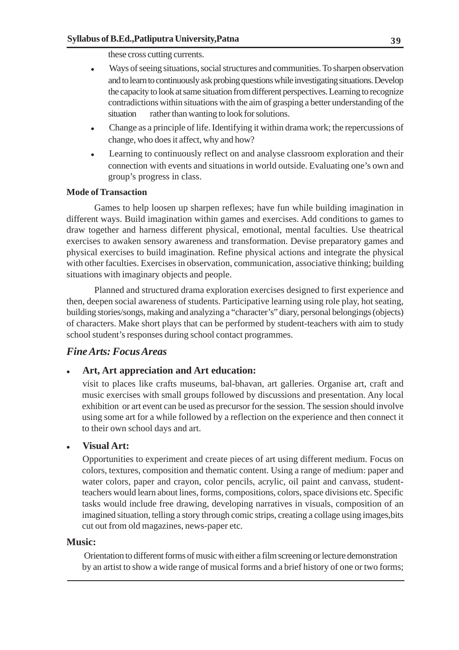these cross cutting currents.

- Ways of seeing situations, social structures and communities. To sharpen observation and to learn to continuously ask probing questions while investigating situations. Develop the capacity to look at same situation from different perspectives. Learning to recognize contradictions within situations with the aim of grasping a better understanding of the situation rather than wanting to look for solutions.
- Change as a principle of life. Identifying it within drama work; the repercussions of change, who does it affect, why and how?
- Learning to continuously reflect on and analyse classroom exploration and their connection with events and situations in world outside. Evaluating one's own and group's progress in class.

#### **Mode of Transaction**

Games to help loosen up sharpen reflexes; have fun while building imagination in different ways. Build imagination within games and exercises. Add conditions to games to draw together and harness different physical, emotional, mental faculties. Use theatrical exercises to awaken sensory awareness and transformation. Devise preparatory games and physical exercises to build imagination. Refine physical actions and integrate the physical with other faculties. Exercises in observation, communication, associative thinking; building situations with imaginary objects and people.

Planned and structured drama exploration exercises designed to first experience and then, deepen social awareness of students. Participative learning using role play, hot seating, building stories/songs, making and analyzing a "character's" diary, personal belongings (objects) of characters. Make short plays that can be performed by student-teachers with aim to study school student's responses during school contact programmes.

#### *Fine Arts: Focus Areas*

#### **Art, Art appreciation and Art education:**

visit to places like crafts museums, bal-bhavan, art galleries. Organise art, craft and music exercises with small groups followed by discussions and presentation. Any local exhibition or art event can be used as precursor for the session. The session should involve using some art for a while followed by a reflection on the experience and then connect it to their own school days and art.

#### **Visual Art:**

Opportunities to experiment and create pieces of art using different medium. Focus on colors, textures, composition and thematic content. Using a range of medium: paper and water colors, paper and crayon, color pencils, acrylic, oil paint and canvass, studentteachers would learn about lines, forms, compositions, colors, space divisions etc. Specific tasks would include free drawing, developing narratives in visuals, composition of an imagined situation, telling a story through comic strips, creating a collage using images,bits cut out from old magazines, news-paper etc.

#### **Music:**

 Orientation to different forms of music with either a film screening or lecture demonstration by an artist to show a wide range of musical forms and a brief history of one or two forms;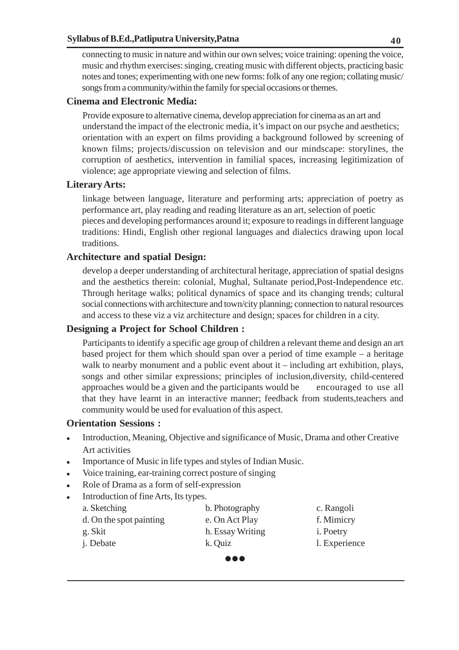connecting to music in nature and within our own selves; voice training: opening the voice, music and rhythm exercises: singing, creating music with different objects, practicing basic notes and tones; experimenting with one new forms: folk of any one region; collating music/ songs from a community/within the family for special occasions or themes.

#### **Cinema and Electronic Media:**

Provide exposure to alternative cinema, develop appreciation for cinema as an art and understand the impact of the electronic media, it's impact on our psyche and aesthetics; orientation with an expert on films providing a background followed by screening of known films; projects/discussion on television and our mindscape: storylines, the corruption of aesthetics, intervention in familial spaces, increasing legitimization of violence; age appropriate viewing and selection of films.

#### **Literary Arts:**

linkage between language, literature and performing arts; appreciation of poetry as performance art, play reading and reading literature as an art, selection of poetic pieces and developing performances around it; exposure to readings in different language traditions: Hindi, English other regional languages and dialectics drawing upon local traditions.

#### **Architecture and spatial Design:**

develop a deeper understanding of architectural heritage, appreciation of spatial designs and the aesthetics therein: colonial, Mughal, Sultanate period,Post-Independence etc. Through heritage walks; political dynamics of space and its changing trends; cultural social connections with architecture and town/city planning; connection to natural resources and access to these viz a viz architecture and design; spaces for children in a city.

#### **Designing a Project for School Children :**

Participants to identify a specific age group of children a relevant theme and design an art based project for them which should span over a period of time example – a heritage walk to nearby monument and a public event about it – including art exhibition, plays, songs and other similar expressions; principles of inclusion,diversity, child-centered approaches would be a given and the participants would be encouraged to use all that they have learnt in an interactive manner; feedback from students,teachers and community would be used for evaluation of this aspect.

#### **Orientation Sessions :**

- Introduction, Meaning, Objective and significance of Music, Drama and other Creative Art activities
- Importance of Music in life types and styles of Indian Music.
- Voice training, ear-training correct posture of singing
- Role of Drama as a form of self-expression
- Introduction of fine Arts, Its types.
	- a. Sketching b. Photography c. Rangoli d. On the spot painting e. On Act Play f. Mimicry g. Skit h. Essay Writing i. Poetry j. Debate k. Quiz l. Experience
		- ...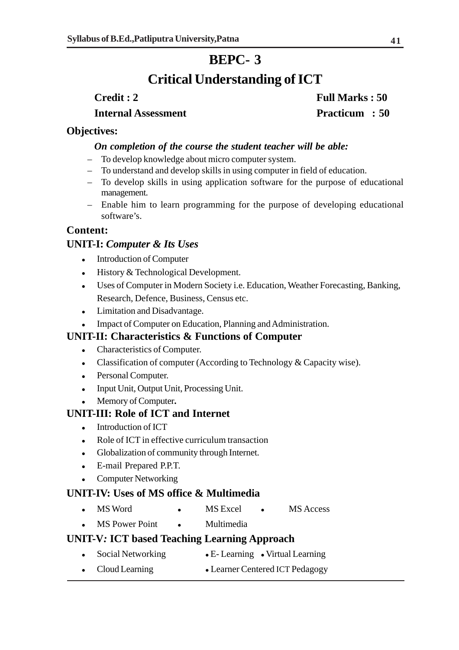## **BEPC- 3**

## **Critical Understanding of ICT**

**Credit : 2** Full Marks : 50 **Internal Assessment** Practicum : 50

#### **Objectives:**

#### *On completion of the course the student teacher will be able:*

- To develop knowledge about micro computer system.
- To understand and develop skills in using computer in field of education.
- To develop skills in using application software for the purpose of educational management.
- Enable him to learn programming for the purpose of developing educational software's.

### **Content:**

#### **UNIT-I:** *Computer & Its Uses*

- Introduction of Computer
- History & Technological Development.
- Uses of Computer in Modern Society i.e. Education, Weather Forecasting, Banking, Research, Defence, Business, Census etc.
- Limitation and Disadvantage.
- Impact of Computer on Education, Planning and Administration.

#### **UNIT-II: Characteristics & Functions of Computer**

- Characteristics of Computer.
- Classification of computer (According to Technology & Capacity wise).
- Personal Computer.
- Input Unit, Output Unit, Processing Unit.
- Memory of Computer**.**

#### **UNIT-III: Role of ICT and Internet**

- Introduction of ICT
- Role of ICT in effective curriculum transaction
- Globalization of community through Internet.
- E-mail Prepared P.P.T.
- Computer Networking

#### **UNIT-IV: Uses of MS office & Multimedia**

- MS Word MS Excel MS Access
- MS Power Point Multimedia

### **UNIT-V***:* **ICT based Teaching Learning Approach**

- Social Networking E- Learning Virtual Learning
- Cloud Learning Learner Centered ICT Pedagogy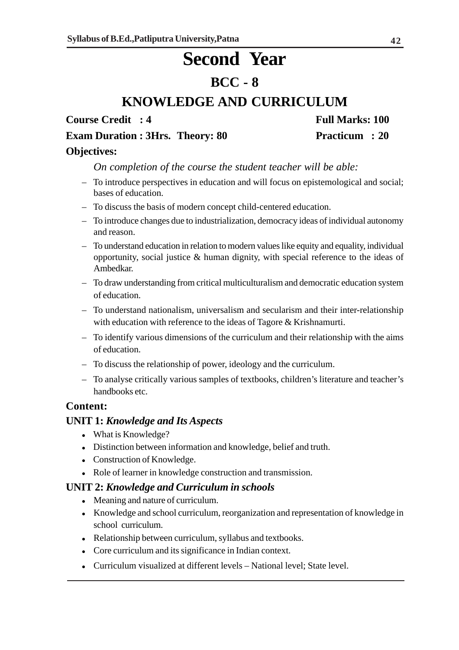# **Second Year**

## **BCC - 8**

## **KNOWLEDGE AND CURRICULUM**

**Course Credit : 4 Full Marks: 100** 

**Exam Duration : 3Hrs. Theory: 80 Practicum : 20** 

#### **Objectives:**

*On completion of the course the student teacher will be able:*

- To introduce perspectives in education and will focus on epistemological and social; bases of education.
- To discuss the basis of modern concept child-centered education.
- To introduce changes due to industrialization, democracy ideas of individual autonomy and reason.
- To understand education in relation to modern values like equity and equality, individual opportunity, social justice & human dignity, with special reference to the ideas of Ambedkar.
- To draw understanding from critical multiculturalism and democratic education system of education.
- To understand nationalism, universalism and secularism and their inter-relationship with education with reference to the ideas of Tagore & Krishnamurti.
- To identify various dimensions of the curriculum and their relationship with the aims of education.
- To discuss the relationship of power, ideology and the curriculum.
- To analyse critically various samples of textbooks, children's literature and teacher's handbooks etc.

#### **Content:**

#### **UNIT 1:** *Knowledge and Its Aspects*

- What is Knowledge?
- Distinction between information and knowledge, belief and truth.
- Construction of Knowledge.
- Role of learner in knowledge construction and transmission.

#### **UNIT 2:** *Knowledge and Curriculum in schools*

- Meaning and nature of curriculum.
- Knowledge and school curriculum, reorganization and representation of knowledge in school curriculum.
- Relationship between curriculum, syllabus and textbooks.
- Core curriculum and its significance in Indian context.
- Curriculum visualized at different levels National level; State level.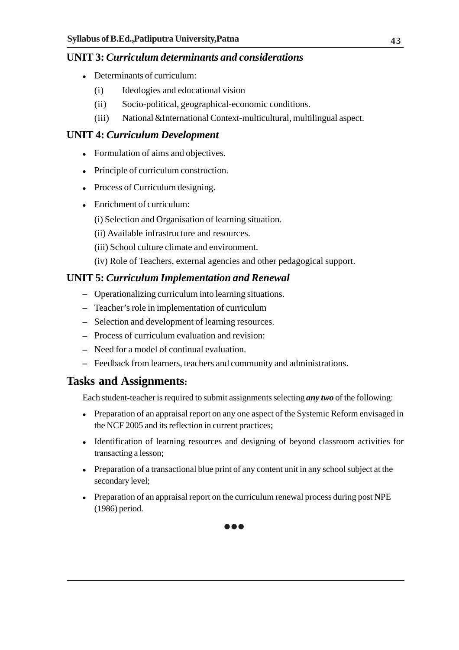### **UNIT 3:** *Curriculum determinants and considerations*

- Determinants of curriculum:
	- (i) Ideologies and educational vision
	- (ii) Socio-political, geographical-economic conditions.
	- (iii) National &International Context-multicultural, multilingual aspect.

### **UNIT 4:** *Curriculum Development*

- Formulation of aims and objectives.
- Principle of curriculum construction.
- Process of Curriculum designing.
- Enrichment of curriculum:
	- (i) Selection and Organisation of learning situation.
	- (ii) Available infrastructure and resources.
	- (iii) School culture climate and environment.
	- (iv) Role of Teachers, external agencies and other pedagogical support.

### **UNIT 5:** *Curriculum Implementation and Renewal*

- **–** Operationalizing curriculum into learning situations.
- **–** Teacher's role in implementation of curriculum
- **–** Selection and development of learning resources.
- **–** Process of curriculum evaluation and revision:
- **–** Need for a model of continual evaluation.
- **–** Feedback from learners, teachers and community and administrations.

## **Tasks and Assignments:**

Each student-teacher is required to submit assignments selecting *any two* of the following:

- Preparation of an appraisal report on any one aspect of the Systemic Reform envisaged in the NCF 2005 and its reflection in current practices;
- Identification of learning resources and designing of beyond classroom activities for transacting a lesson;
- Preparation of a transactional blue print of any content unit in any school subject at the secondary level;
- Preparation of an appraisal report on the curriculum renewal process during post NPE (1986) period.



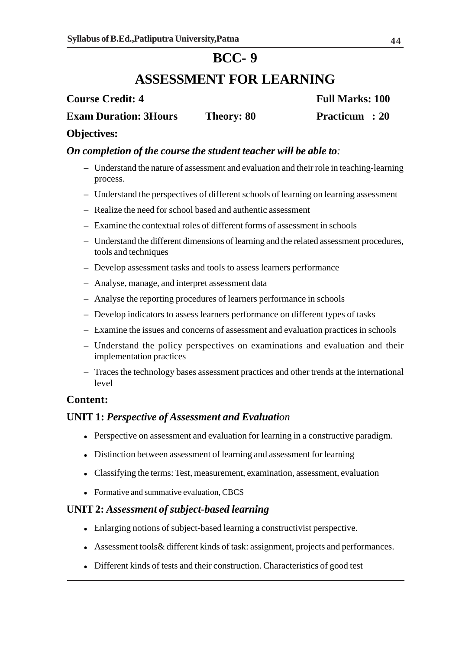## **BCC- 9**

## **ASSESSMENT FOR LEARNING**

## **Course Credit: 4** Full Marks: 100 **Exam Duration: 3Hours Theory: 80 Practicum : 20**

#### **Objectives:**

#### *On completion of the course the student teacher will be able to:*

- **–** Understand the nature of assessment and evaluation and their role in teaching-learning process.
- Understand the perspectives of different schools of learning on learning assessment
- Realize the need for school based and authentic assessment
- Examine the contextual roles of different forms of assessment in schools
- Understand the different dimensions of learning and the related assessment procedures, tools and techniques
- Develop assessment tasks and tools to assess learners performance
- Analyse, manage, and interpret assessment data
- Analyse the reporting procedures of learners performance in schools
- Develop indicators to assess learners performance on different types of tasks
- Examine the issues and concerns of assessment and evaluation practices in schools
- Understand the policy perspectives on examinations and evaluation and their implementation practices
- Traces the technology bases assessment practices and other trends at the international level

#### **Content:**

#### **UNIT 1:** *Perspective of Assessment and Evaluation*

- Perspective on assessment and evaluation for learning in a constructive paradigm.
- Distinction between assessment of learning and assessment for learning
- Classifying the terms: Test, measurement, examination, assessment, evaluation
- Formative and summative evaluation, CBCS

#### **UNIT 2:** *Assessment of subject-based learning*

- Enlarging notions of subject-based learning a constructivist perspective.
- Assessment tools& different kinds of task: assignment, projects and performances.
- Different kinds of tests and their construction. Characteristics of good test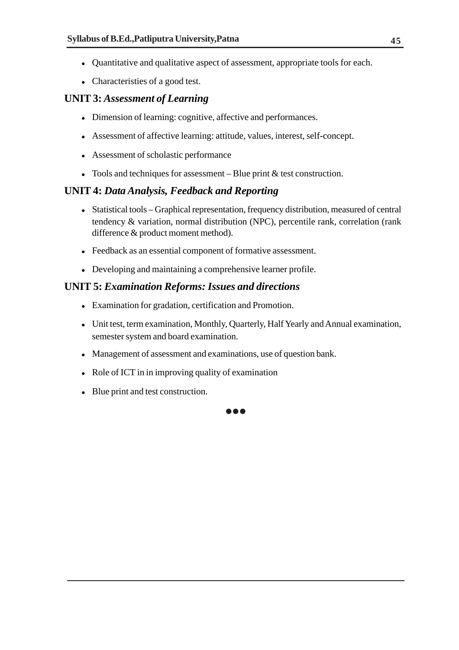- Quantitative and qualitative aspect of assessment, appropriate tools for each.
- Characteristies of a good test.

#### **UNIT 3:** *Assessment of Learning*

- Dimension of learning: cognitive, affective and performances.
- Assessment of affective learning: attitude, values, interest, self-concept.
- Assessment of scholastic performance
- Tools and techniques for assessment Blue print  $&$  test construction.

#### **UNIT 4:** *Data Analysis, Feedback and Reporting*

- Statistical tools Graphical representation, frequency distribution, measured of central tendency & variation, normal distribution (NPC), percentile rank, correlation (rank difference & product moment method).
- Feedback as an essential component of formative assessment.
- Developing and maintaining a comprehensive learner profile.

#### **UNIT 5:** *Examination Reforms: Issues and directions*

- Examination for gradation, certification and Promotion.
- Unit test, term examination, Monthly, Quarterly, Half Yearly and Annual examination, semester system and board examination.

 $\bullet\bullet\bullet$ 

- Management of assessment and examinations, use of question bank.
- Role of ICT in in improving quality of examination
- Blue print and test construction.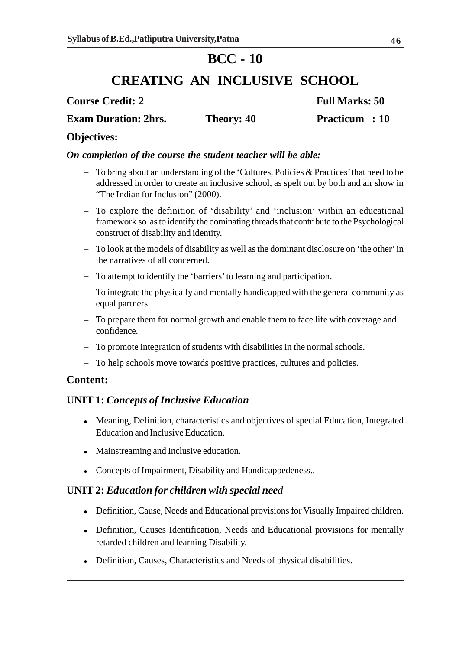## **BCC - 10**

## **CREATING AN INCLUSIVE SCHOOL**

**Course Credit: 2** Full Marks: 50

**Exam Duration: 2hrs.** Theory: 40 **Practicum : 10** 

## **Objectives:**

#### *On completion of the course the student teacher will be able:*

- **–** To bring about an understanding of the 'Cultures, Policies & Practices' that need to be addressed in order to create an inclusive school, as spelt out by both and air show in "The Indian for Inclusion" (2000).
- **–** To explore the definition of 'disability' and 'inclusion' within an educational framework so as to identify the dominating threads that contribute to the Psychological construct of disability and identity.
- **–** To look at the models of disability as well as the dominant disclosure on 'the other' in the narratives of all concerned.
- **–** To attempt to identify the 'barriers' to learning and participation.
- **–** To integrate the physically and mentally handicapped with the general community as equal partners.
- **–** To prepare them for normal growth and enable them to face life with coverage and confidence.
- **–** To promote integration of students with disabilities in the normal schools.
- **–** To help schools move towards positive practices, cultures and policies.

#### **Content:**

## **UNIT 1:** *Concepts of Inclusive Education*

- Meaning, Definition, characteristics and objectives of special Education, Integrated Education and Inclusive Education.
- Mainstreaming and Inclusive education.
- Concepts of Impairment, Disability and Handicappedeness..

#### **UNIT 2:** *Education for children with special need*

- Definition, Cause, Needs and Educational provisions for Visually Impaired children.
- Definition, Causes Identification, Needs and Educational provisions for mentally retarded children and learning Disability.
- Definition, Causes, Characteristics and Needs of physical disabilities.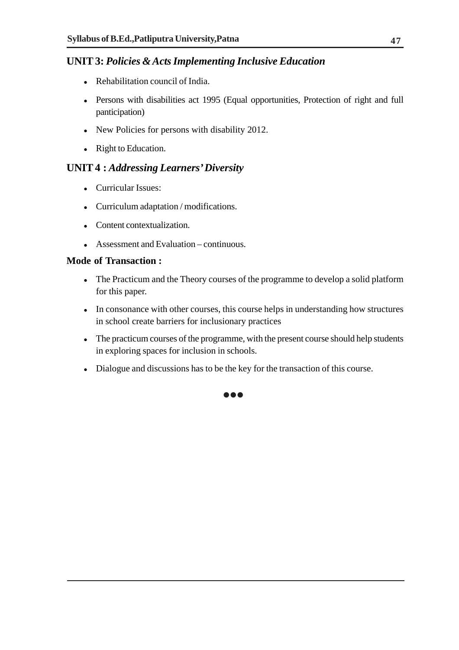### **UNIT 3:** *Policies & Acts Implementing Inclusive Education*

- Rehabilitation council of India.
- Persons with disabilities act 1995 (Equal opportunities, Protection of right and full panticipation)
- New Policies for persons with disability 2012.
- Right to Education.

### **UNIT 4 :** *Addressing Learners' Diversity*

- Curricular Issues:
- Curriculum adaptation / modifications.
- Content contextualization.
- Assessment and Evaluation continuous.

#### **Mode of Transaction :**

- The Practicum and the Theory courses of the programme to develop a solid platform for this paper.
- In consonance with other courses, this course helps in understanding how structures in school create barriers for inclusionary practices
- The practicum courses of the programme, with the present course should help students in exploring spaces for inclusion in schools.
- Dialogue and discussions has to be the key for the transaction of this course.

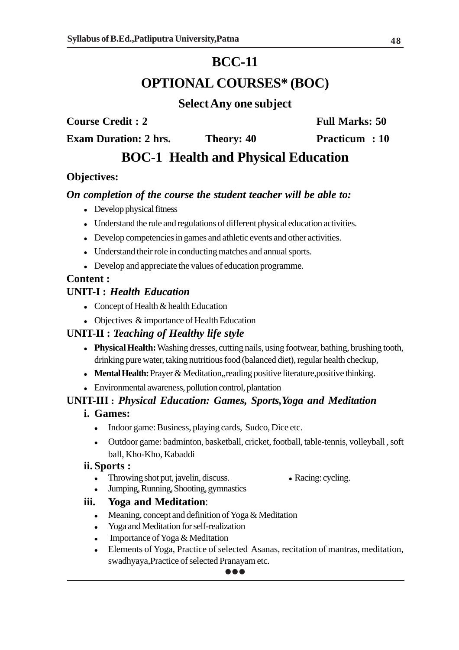## **BCC-11**

## **OPTIONAL COURSES\* (BOC)**

## **Select Any one subject**

**Course Credit : 2** Full Marks: 50

**Exam Duration: 2 hrs.** Theory: 40 **Practicum : 10** 

## **BOC-1 Health and Physical Education**

## **Objectives:**

#### *On completion of the course the student teacher will be able to:*

- Develop physical fitness
- Understand the rule and regulations of different physical education activities.
- Develop competencies in games and athletic events and other activities.
- Understand their role in conducting matches and annual sports.
- Develop and appreciate the values of education programme.

#### **Content :**

### **UNIT-I :** *Health Education*

- Concept of Health & health Education
- Objectives & importance of Health Education

## **UNIT-II :** *Teaching of Healthy life style*

- **Physical Health:** Washing dresses, cutting nails, using footwear, bathing, brushing tooth, drinking pure water, taking nutritious food (balanced diet), regular health checkup,
- **Mental Health:** Prayer & Meditation,,reading positive literature,positive thinking.
- Environmental awareness, pollution control, plantation

## **UNIT-III :** *Physical Education: Games, Sports,Yoga and Meditation*

#### **i. Games:**

- Indoor game: Business, playing cards, Sudco, Dice etc.
- Outdoor game: badminton, basketball, cricket, football, table-tennis, volleyball , soft ball, Kho-Kho, Kabaddi

#### **ii. Sports :**

- Throwing shot put, javelin, discuss. Racing: cycling.
	-
- Jumping, Running, Shooting, gymnastics

#### **iii. Yoga and Meditation**:

- Meaning, concept and definition of Yoga & Meditation
- Yoga and Meditation for self-realization
- Importance of Yoga & Meditation
- Elements of Yoga, Practice of selected Asanas, recitation of mantras, meditation, swadhyaya,Practice of selected Pranayam etc.

#### $\bullet\bullet\bullet$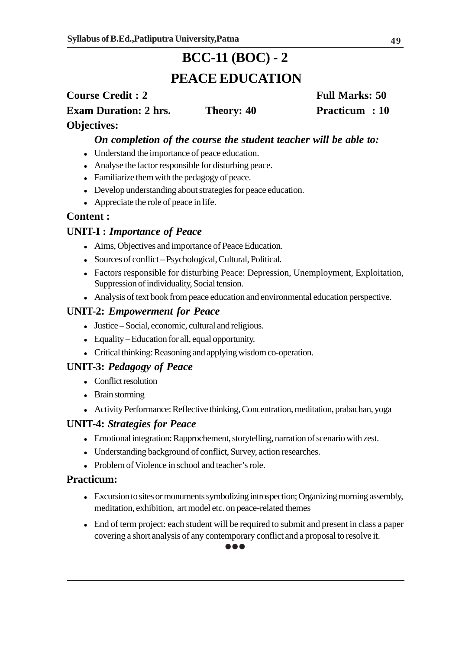## **BCC-11 (BOC) - 2 PEACE EDUCATION**

## **Course Credit : 2** Full Marks: 50 **Exam Duration: 2 hrs.** Theory: 40 **Practicum : 10 Objectives:**

#### *On completion of the course the student teacher will be able to:*

- Understand the importance of peace education.
- Analyse the factor responsible for disturbing peace.
- Familiarize them with the pedagogy of peace.
- Develop understanding about strategies for peace education.
- Appreciate the role of peace in life.

#### **Content :**

#### **UNIT-I :** *Importance of Peace*

- Aims, Objectives and importance of Peace Education.
- Sources of conflict Psychological, Cultural, Political.
- Factors responsible for disturbing Peace: Depression, Unemployment, Exploitation, Suppression of individuality, Social tension.
- Analysis of text book from peace education and environmental education perspective.

#### **UNIT-2:** *Empowerment for Peace*

- Justice Social, economic, cultural and religious.
- Equality Education for all, equal opportunity.
- Critical thinking: Reasoning and applying wisdom co-operation.

#### **UNIT-3:** *Pedagogy of Peace*

- Conflict resolution
- Brain storming
- Activity Performance: Reflective thinking, Concentration, meditation, prabachan, yoga

#### **UNIT-4:** *Strategies for Peace*

- Emotional integration: Rapprochement, storytelling, narration of scenario with zest.
- Understanding background of conflict, Survey, action researches.
- Problem of Violence in school and teacher's role.

#### **Practicum:**

- Excursion to sites or monuments symbolizing introspection; Organizing morning assembly, meditation, exhibition, art model etc. on peace-related themes
- End of term project: each student will be required to submit and present in class a paper covering a short analysis of any contemporary conflict and a proposal to resolve it.

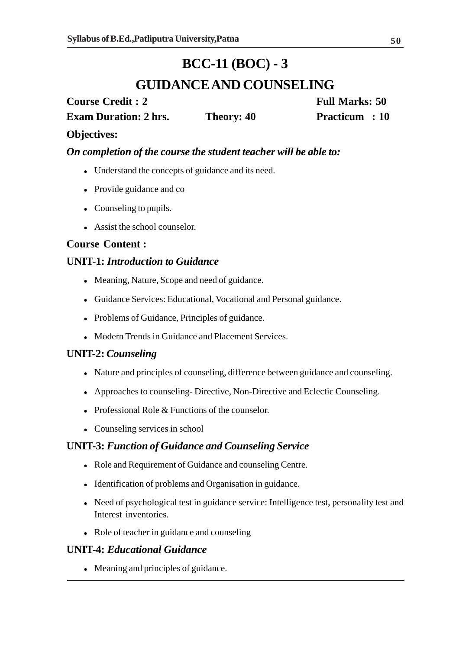## **BCC-11 (BOC) - 3**

## **GUIDANCE AND COUNSELING**

**Course Credit : 2** Full Marks: 50 **Exam Duration: 2 hrs.** Theory: 40 Practicum : 10

### **Objectives:**

*On completion of the course the student teacher will be able to:*

- Understand the concepts of guidance and its need.
- Provide guidance and co
- Counseling to pupils.
- Assist the school counselor.

### **Course Content :**

#### **UNIT-1:** *Introduction to Guidance*

- Meaning, Nature, Scope and need of guidance.
- Guidance Services: Educational, Vocational and Personal guidance.
- Problems of Guidance, Principles of guidance.
- Modern Trends in Guidance and Placement Services.

#### **UNIT-2:** *Counseling*

- Nature and principles of counseling, difference between guidance and counseling.
- Approaches to counseling- Directive, Non-Directive and Eclectic Counseling.
- Professional Role & Functions of the counselor.
- Counseling services in school

#### **UNIT-3:** *Function of Guidance and Counseling Service*

- Role and Requirement of Guidance and counseling Centre.
- Identification of problems and Organisation in guidance.
- Need of psychological test in guidance service: Intelligence test, personality test and Interest inventories.
- Role of teacher in guidance and counseling

#### **UNIT-4:** *Educational Guidance*

Meaning and principles of guidance.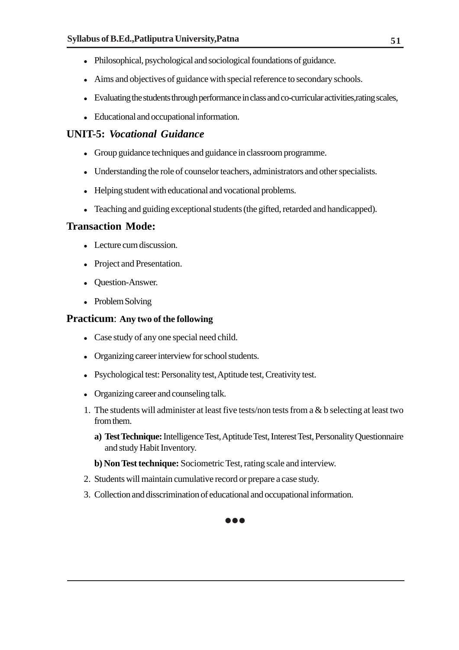- Philosophical, psychological and sociological foundations of guidance.
- Aims and objectives of guidance with special reference to secondary schools.
- Evaluating the students through performance in class and co-curricular activities,rating scales,
- Educational and occupational information.

### **UNIT-5:** *Vocational Guidance*

- Group guidance techniques and guidance in classroom programme.
- Understanding the role of counselor teachers, administrators and other specialists.
- Helping student with educational and vocational problems.
- Teaching and guiding exceptional students (the gifted, retarded and handicapped).

#### **Transaction Mode:**

- Lecture cum discussion.
- Project and Presentation.
- Question-Answer.
- Problem Solving

#### **Practicum**: **Any two of the following**

- Case study of any one special need child.
- Organizing career interview for school students.
- Psychological test: Personality test, Aptitude test, Creativity test.
- Organizing career and counseling talk.
- 1. The students will administer at least five tests/non tests from a & b selecting at least two from them.
	- **a) Test Technique:** Intelligence Test, Aptitude Test, Interest Test, Personality Questionnaire and study Habit Inventory.
	- **b) Non Test technique:** Sociometric Test, rating scale and interview.
- 2. Students will maintain cumulative record or prepare a case study.
- 3. Collection and disscrimination of educational and occupational information.



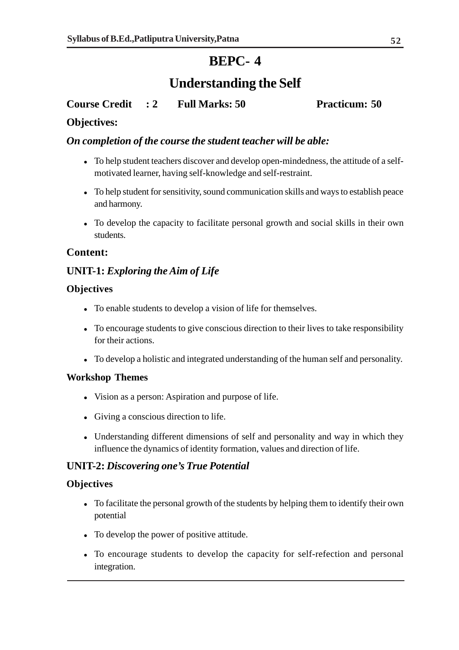## **BEPC- 4**

## **Understanding the Self**

### **Course Credit : 2 Full Marks: 50 Practicum: 50**

#### **Objectives:**

#### *On completion of the course the student teacher will be able:*

- To help student teachers discover and develop open-mindedness, the attitude of a selfmotivated learner, having self-knowledge and self-restraint.
- To help student for sensitivity, sound communication skills and ways to establish peace and harmony.
- To develop the capacity to facilitate personal growth and social skills in their own students.

#### **Content:**

#### **UNIT-1:** *Exploring the Aim of Life*

#### **Objectives**

- To enable students to develop a vision of life for themselves.
- To encourage students to give conscious direction to their lives to take responsibility for their actions.
- To develop a holistic and integrated understanding of the human self and personality.

#### **Workshop Themes**

- Vision as a person: Aspiration and purpose of life.
- Giving a conscious direction to life.
- Understanding different dimensions of self and personality and way in which they influence the dynamics of identity formation, values and direction of life.

#### **UNIT-2:** *Discovering one's True Potential*

#### **Objectives**

- To facilitate the personal growth of the students by helping them to identify their own potential
- To develop the power of positive attitude.
- To encourage students to develop the capacity for self-refection and personal integration.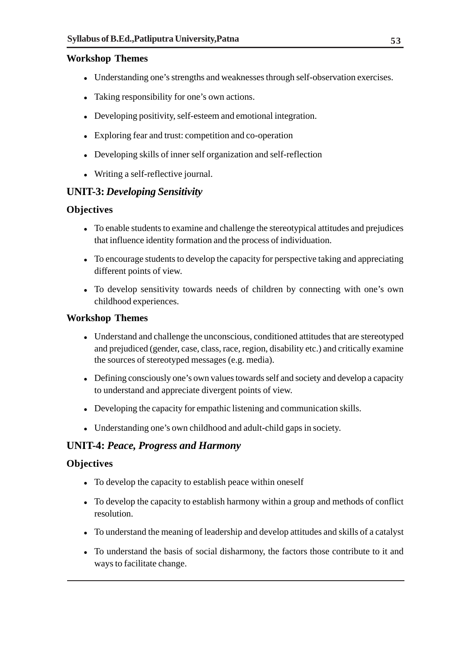#### **Workshop Themes**

- Understanding one's strengths and weaknesses through self-observation exercises.
- Taking responsibility for one's own actions.
- Developing positivity, self-esteem and emotional integration.
- Exploring fear and trust: competition and co-operation
- Developing skills of inner self organization and self-reflection
- Writing a self-reflective journal.

### **UNIT-3:** *Developing Sensitivity*

#### **Objectives**

- To enable students to examine and challenge the stereotypical attitudes and prejudices that influence identity formation and the process of individuation.
- To encourage students to develop the capacity for perspective taking and appreciating different points of view.
- To develop sensitivity towards needs of children by connecting with one's own childhood experiences.

#### **Workshop Themes**

- Understand and challenge the unconscious, conditioned attitudes that are stereotyped and prejudiced (gender, case, class, race, region, disability etc.) and critically examine the sources of stereotyped messages (e.g. media).
- Defining consciously one's own values towards self and society and develop a capacity to understand and appreciate divergent points of view.
- Developing the capacity for empathic listening and communication skills.
- Understanding one's own childhood and adult-child gaps in society.

#### **UNIT-4:** *Peace, Progress and Harmony*

#### **Objectives**

- To develop the capacity to establish peace within oneself
- To develop the capacity to establish harmony within a group and methods of conflict resolution.
- To understand the meaning of leadership and develop attitudes and skills of a catalyst
- To understand the basis of social disharmony, the factors those contribute to it and ways to facilitate change.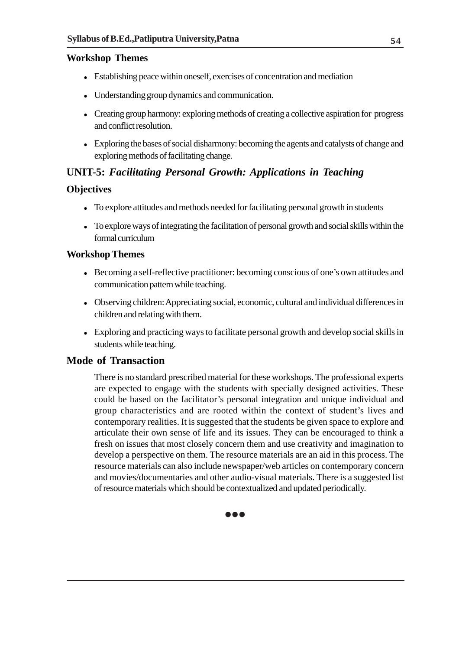#### **Workshop Themes**

- Establishing peace within oneself, exercises of concentration and mediation
- Understanding group dynamics and communication.
- Creating group harmony: exploring methods of creating a collective aspiration for progress and conflict resolution.
- Exploring the bases of social disharmony: becoming the agents and catalysts of change and exploring methods of facilitating change.

## **UNIT-5:** *Facilitating Personal Growth: Applications in Teaching*

#### **Objectives**

- To explore attitudes and methods needed for facilitating personal growth in students
- To explore ways of integrating the facilitation of personal growth and social skills within the formal curriculum

#### **Workshop Themes**

- Becoming a self-reflective practitioner: becoming conscious of one's own attitudes and communication pattern while teaching.
- Observing children: Appreciating social, economic, cultural and individual differences in children and relating with them.
- Exploring and practicing ways to facilitate personal growth and develop social skills in students while teaching.

#### **Mode of Transaction**

There is no standard prescribed material for these workshops. The professional experts are expected to engage with the students with specially designed activities. These could be based on the facilitator's personal integration and unique individual and group characteristics and are rooted within the context of student's lives and contemporary realities. It is suggested that the students be given space to explore and articulate their own sense of life and its issues. They can be encouraged to think a fresh on issues that most closely concern them and use creativity and imagination to develop a perspective on them. The resource materials are an aid in this process. The resource materials can also include newspaper/web articles on contemporary concern and movies/documentaries and other audio-visual materials. There is a suggested list of resource materials which should be contextualized and updated periodically.

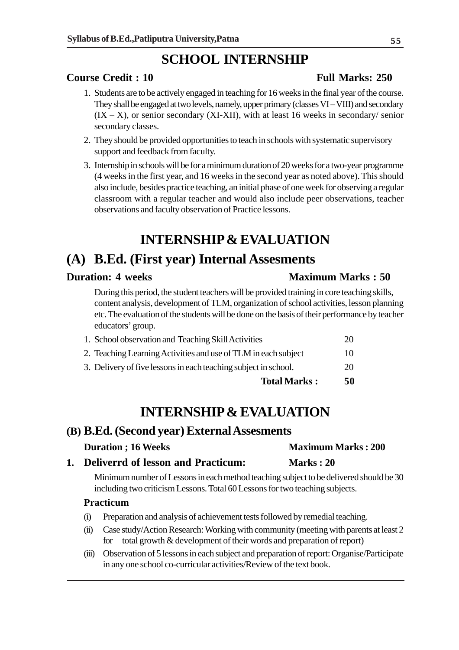## **SCHOOL INTERNSHIP**

#### **Course Credit : 10 Full Marks: 250**

- 1. Students are to be actively engaged in teaching for 16 weeks in the final year of the course. They shall be engaged at two levels, namely, upper primary (classes VI – VIII) and secondary  $(IX - X)$ , or senior secondary  $(XI-XII)$ , with at least 16 weeks in secondary/ senior secondary classes.
- 2. They should be provided opportunities to teach in schools with systematic supervisory support and feedback from faculty.
- 3. Internship in schools will be for a minimum duration of 20 weeks for a two-year programme (4 weeks in the first year, and 16 weeks in the second year as noted above). This should also include, besides practice teaching, an initial phase of one week for observing a regular classroom with a regular teacher and would also include peer observations, teacher observations and faculty observation of Practice lessons.

## **INTERNSHIP & EVALUATION**

## **(A) B.Ed. (First year) Internal Assesments**

#### **Duration: 4 weeks Maximum Marks : 50**

During this period, the student teachers will be provided training in core teaching skills, content analysis, development of TLM, organization of school activities, lesson planning etc. The evaluation of the students will be done on the basis of their performance by teacher educators' group.

| <b>Total Marks:</b>                                             | 50 |
|-----------------------------------------------------------------|----|
| 3. Delivery of five lessons in each teaching subject in school. | 20 |
| 2. Teaching Learning Activities and use of TLM in each subject  | 10 |
| 1. School observation and Teaching Skill Activities             | 20 |

## **INTERNSHIP & EVALUATION**

### **(B) B.Ed. (Second year) External Assesments**

| <b>Duration</b> ; 16 Weeks            | <b>Maximum Marks: 200</b> |
|---------------------------------------|---------------------------|
| 1. Deliverrd of lesson and Practicum: | Marks: 20                 |

Minimum number of Lessons in each method teaching subject to be delivered should be 30 including two criticism Lessons. Total 60 Lessons for two teaching subjects.

#### **Practicum**

- (i) Preparation and analysis of achievement tests followed by remedial teaching.
- (ii) Case study/Action Research: Working with community (meeting with parents at least 2 for total growth & development of their words and preparation of report)
- (iii) Observation of 5 lessons in each subject and preparation of report: Organise/Participate in any one school co-curricular activities/Review of the text book.